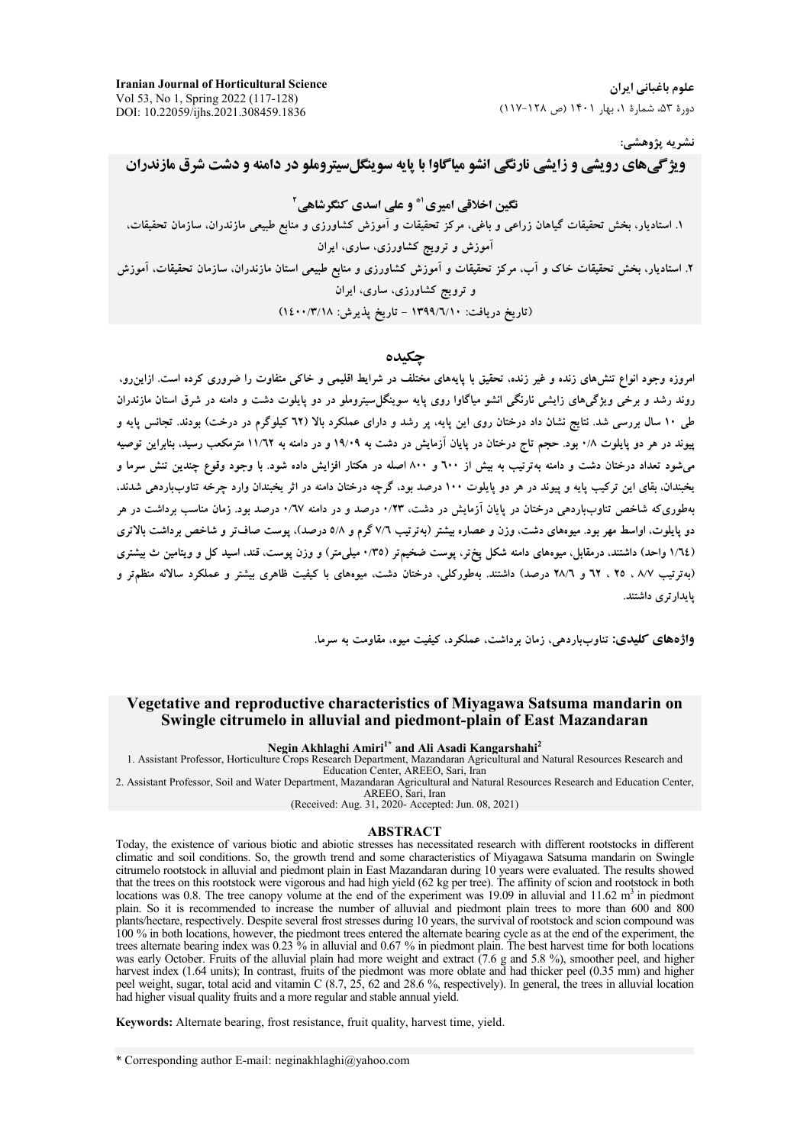**Iranian Journal of Horticultural Science**  Vol 53, No 1, Spring 2022 (117-128) DOI: 10.22059/ijhs.2021.308459.1836

علوم باغباني ايران دورهٔ ۵۳، شمارهٔ ۱، بهار ۱۴۰۱ (ص ۱۲۸-۱۱۷)

نشريه پژوهش*ي*:

## **ویژگیهای رویشی و زایشی نارنگی انشو میاگاوا با پایه سوینگلسیتروملو در دامنه و دشت شرق مازندران**

نگین اخلاقی امیری<sup>4</sup> و علی اسدی کنگرشاهی<sup>۲</sup>

۱. استادیار، بخش تحقیقات گیاهان زراعی و باغی، مرکز تحقیقات و اموزش کشاورزی و منابع طبیعی مازندران، سازمان تحقیقات، اموزش و ترویج کشاورزی، ساری، ایران ۲. استادیار، بخش تحقیقات خاک و اب، مرکز تحقیقات و اموزش کشاورزی و منابع طبیعی استان مازندران، سازمان تحقیقات، اموزش و ترویج کشاورزی، ساری، ایران (تاريخ دريافت: ١٣٩٩/٦/١٠ - تاريخ پذيرش: ١٤٠٠/٣/١٨)

## **جكىدە**

امروزه وجود انواع تنش۵های زنده و غیر زنده، تحقیق با پایههای مختلف در شرایط اقلیمی و خاکی متفاوت را ضروری کرده است. ازاین٫و، روند رشد و برخی ویژگیهای زایشی نارنگی انشو میاگاوا روی پایه سوینگل**سیتروملو در دو پایلوت دشت و دامنه در شرق** استان مازندران طی ۱۰ سال بررسی شد. نتایج نشان داد درختان روی این پایه، پر رشد و دارای عملکرد بالا (۲۲ کیلوگرم در درخت) بودند. تجانس پایه و پیوند در هر دو پایلوت ۱/۰ بود. حجم تاج درختان در پایان ازمایش در دشت به ۱۹/۰۹ و در دامنه به ۱۱/۲۲ مترمکعب رسید، بنابراین توصیه میشود تعداد درختان دشت و دامنه بهترتیب به بیش از ۹۰۰ و ۸۰۰ اصله در هکتار افزایش داده شود. با وجود وقوع چندین تنش سرما و بخبندان. بقای این ترکیب پایه و پیوند در هر دو پایلوت ۱۰۰ درصد بود، گرچه درختان دامنه در اثر یخبندان وارد چرخه تناوبباردهی شدند. بهطوریکه شاخص تناوبباردهی درختان در پایان ازمایش در دشت، ۰/۲۳ درصد و در دامنه ۰/٦۷ درصد بود. زمان مناسب برداشت در هر دو پایلوت، اواسط مهر بود. میوههای دشت، وزن و عصاره بیشتر (بهترتیب ۷/٦ گرم و ۵/۸ درصد). پوست صاف**-تر و شاخص برداشت بالاتر**ی (۱/٦٤ واحد) داشتند، درمقابل، میوههای دامنه شکل پختر، پوست ضخیمتر (۳۵/۰ میلیمتر) و وزن پوست. قند. اسید کل و ویتامین ث بیشتری (بهترتیب ۸/۷ ، ۲۵ ، ۲۲ و ۲۸/۲ درصد) داشتند. بهطورکلی، درختان دشت، میوههای با کیفیت ظاهری بیشتر و عملکرد سالانه منظمتر و پايدارترى داشتند.

**واژههای کلیدی:** تناوبباردهی، زمان برداشت، عملکرد، کیفیت میوه، مقاومت به سرما<sub>ً</sub>.

## **Vegetative and reproductive characteristics of Miyagawa Satsuma mandarin on Swingle citrumelo in alluvial and piedmont-plain of East Mazandaran**

**Negin Akhlaghi Amiri1\* and Ali Asadi Kangarshahi<sup>2</sup>**

1. Assistant Professor, Horticulture Crops Research Department, Mazandaran Agricultural and Natural Resources Research and Education Center, AREEO, Sari, Iran

2. Assistant Professor, Soil and Water Department, Mazandaran Agricultural and Natural Resources Research and Education Center, AREEO, Sari, Iran

(Received: Aug. 31, 2020- Accepted: Jun. 08, 2021)

#### **ABSTRACT**

Today, the existence of various biotic and abiotic stresses has necessitated research with different rootstocks in different climatic and soil conditions. So, the growth trend and some characteristics of Miyagawa Satsuma mandarin on Swingle citrumelo rootstock in alluvial and piedmont plain in East Mazandaran during 10 years were evaluated. The results showed that the trees on this rootstock were vigorous and had high yield (62 kg per tree). The affinity of scion and rootstock in both locations was 0.8. The tree canopy volume at the end of the experiment was 19.09 in alluvial and 11.62  $m<sup>3</sup>$  in piedmont plain. So it is recommended to increase the number of alluvial and piedmont plain trees to more than 600 and 800 plants/hectare, respectively. Despite several frost stresses during 10 years, the survival of rootstock and scion compound was 100 % in both locations, however, the piedmont trees entered the alternate bearing cycle as at the end of the experiment, the trees alternate bearing index was 0.23 % in alluvial and 0.67 % in piedmont plain. The best harvest time for both locations was early October. Fruits of the alluvial plain had more weight and extract (7.6 g and 5.8 %), smoother peel, and higher harvest index (1.64 units); In contrast, fruits of the piedmont was more oblate and had thicker peel (0.35 mm) and higher peel weight, sugar, total acid and vitamin C (8.7, 25, 62 and 28.6 %, respectively). In general, the trees in alluvial location had higher visual quality fruits and a more regular and stable annual yield.

**Keywords:** Alternate bearing, frost resistance, fruit quality, harvest time, yield.

<sup>\*</sup> Corresponding author E-mail: neginakhlaghi@yahoo.com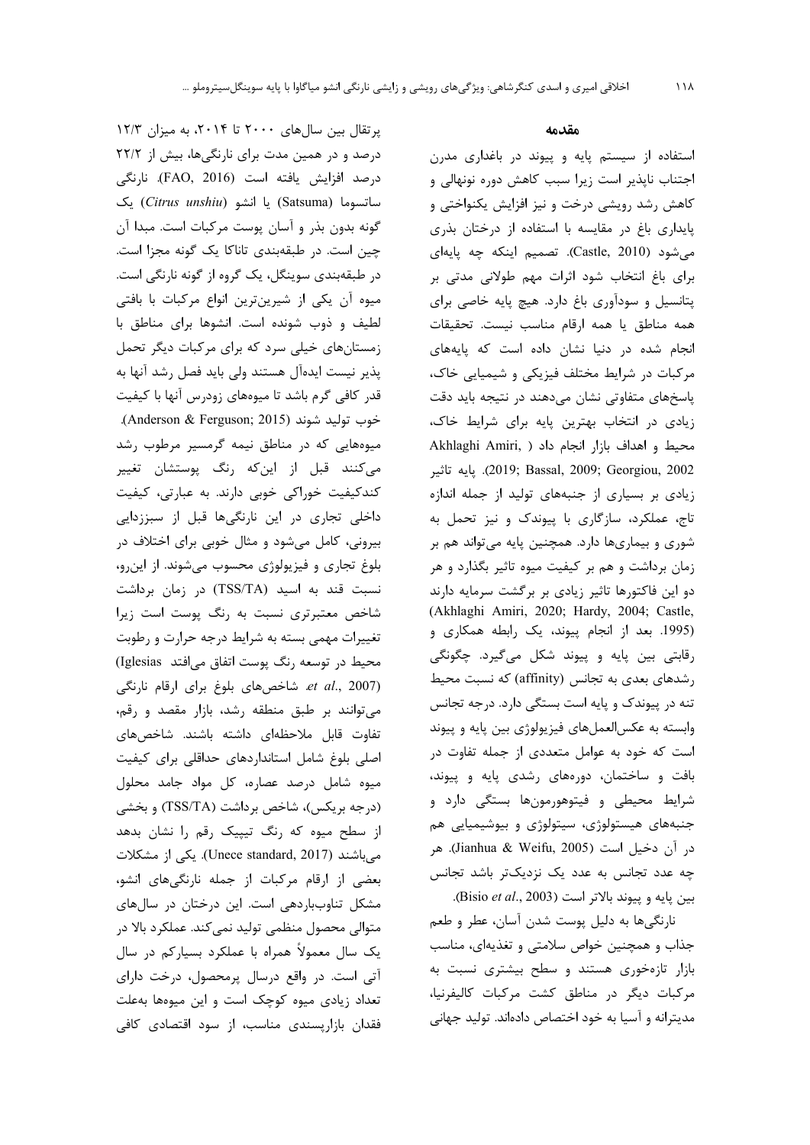پرتقال بین سالهای ٢٠٠٠ تا ٢٠١۴، به میزان ١٢/٣ درصد و در همین مدت برای نارنگیها، بیش از ۲۲/۲ درصد افزایش یافته است (FAO, 2016). نارنگی ساتسوما (Satsuma) یا انشو (Citrus unshiu) یک گونه بدون بذر و آسان پوست مرکبات است. مبدا آن چین است. در طبقهبندی تاناکا یک گونه مجزا است. در طبقهبندی سوینگل، یک گروه از گونه نارنگی است. میوه آن یکی از شیرینترین انواع مرکبات با بافتی لطیف و ذوب شونده است. انشوها برای مناطق با زمستانهای خیلی سرد که برای مرکبات دیگر تحمل يذير نيست ايدهآل هستند ولى بايد فصل رشد آنها به قدر كافي گرم باشد تا ميوههاي زودرس آنها با كيفيت خوب توليد شوند (Anderson & Ferguson; 2015). میوههایی که در مناطق نیمه گرمسیر مرطوب رشد می کنند قبل از این که رنگ پوستشان تغییر کندکیفیت خوراکی خوبی دارند. به عبارتی، کیفیت داخلی تجاری در این نارنگیها قبل از سبززدایی بیرونی، کامل میشود و مثال خوبی برای اختلاف در بلوغ تجاری و فیزیولوژی محسوب میشوند. از اینرو، نسبت قند به اسید (TSS/TA) در زمان برداشت شاخص معتبرتری نسبت به رنگ پوست است زیرا تغییرات مهمی بسته به شرایط درجه حرارت و رطوبت محیط در توسعه رنگ یوست اتفاق می افتد Iglesias) et al., 2007). شاخصهای بلوغ برای ارقام نارنگی می توانند بر طبق منطقه رشد، بازار مقصد و رقم، تفاوت قابل ملاحظهای داشته باشند. شاخصهای اصلی بلوغ شامل استانداردهای حداقلی برای کیفیت میوه شامل درصد عصاره، کل مواد جامد محلول (درجه بریکس)، شاخص برداشت (TSS/TA) و بخشی از سطح میوه که رنگ تیپیک رقم را نشان بدهد میباشند (Unece standard, 2017). یکی از مشکلات بعضی از ارقام مرکبات از جمله نارنگیهای انشو، مشکل تناوبباردهی است. این درختان در سالهای متوالي محصول منظمي توليد نمي كند. عملكرد بالا در یک سال معمولاً همراه با عملکرد بسیارکم در سال آتی است. در واقع درسال پرمحصول، درخت دارای تعداد زیادی میوه کوچک است و این میوهها بهعلت فقدان بازاریسندی مناسب، از سود اقتصادی کافی

### مقدمه

استفاده از سیستم پایه و پیوند در باغداری مدرن اجتناب ناپذیر است زیرا سبب کاهش دوره نونهالی و کاهش رشد رویشی درخت و نیز افزایش یکنواختی و پایداری باغ در مقایسه با استفاده از درختان بذری می شود (Castle, 2010). تصمیم اینکه چه پایهای برای باغ انتخاب شود اثرات مهم طولانی مدتی بر پتانسیل و سودآوری باغ دارد. هیچ پایه خاصی برای همه مناطق يا همه ارقام مناسب نيست. تحقيقات انجام شده در دنیا نشان داده است که پایههای مرکبات در شرایط مختلف فیزیکی و شیمیایی خاک، پاسخهای متفاوتی نشان میدهند در نتیجه باید دقت زیادی در انتخاب بهترین پایه برای شرایط خاک، Akhlaghi Amiri, ) محيط و اهداف بازار انجام داد 2002). يايه تاثير (2019; Bassal, 2009; Georgiou, 2002). زیادی بر بسیاری از جنبههای تولید از جمله اندازه تاج، عملکرد، سازگاری با پیوندک و نیز تحمل به شوری و بیماریها دارد. همچنین پایه میتواند هم بر زمان برداشت و هم بر کیفیت میوه تاثیر بگذارد و هر دو این فاکتورها تاثیر زیادی بر برگشت سرمایه دارند (Akhlaghi Amiri, 2020; Hardy, 2004; Castle, (1995. بعد از انجام پیوند، یک رابطه همکاری و رقابتی بین پایه و پیوند شکل میگیرد. چگونگی رشدهای بعدی به تجانس (affinity) که نسبت محیط تنه در پیوندک و پایه است بستگی دارد. درجه تجانس وابسته به عكسالعملهاى فيزيولوژى بين پايه و پيوند است که خود به عوامل متعددی از جمله تفاوت در بافت و ساختمان، دورههای رشدی پایه و پیوند، شرایط محیطی و فیتوهورمونها بستگی دارد و جنبههای هیستولوژی، سیتولوژی و بیوشیمیایی هم در آن دخیل است (Jianhua & Weifu, 2005). هر چه عدد تجانس به عدد یک نزدیکتر باشد تجانس بين يايه و پيوند بالاتر است (Bisio et al., 2003).

نارنگیها به دلیل پوست شدن آسان، عطر و طعم جذاب و همچنین خواص سلامتی و تغذیهای، مناسب بازار تازهخوری هستند و سطح بیشتری نسبت به مركبات ديگر در مناطق كشت مركبات كاليفرنيا، مدیترانه و آسیا به خود اختصاص دادهاند. تولید جهانی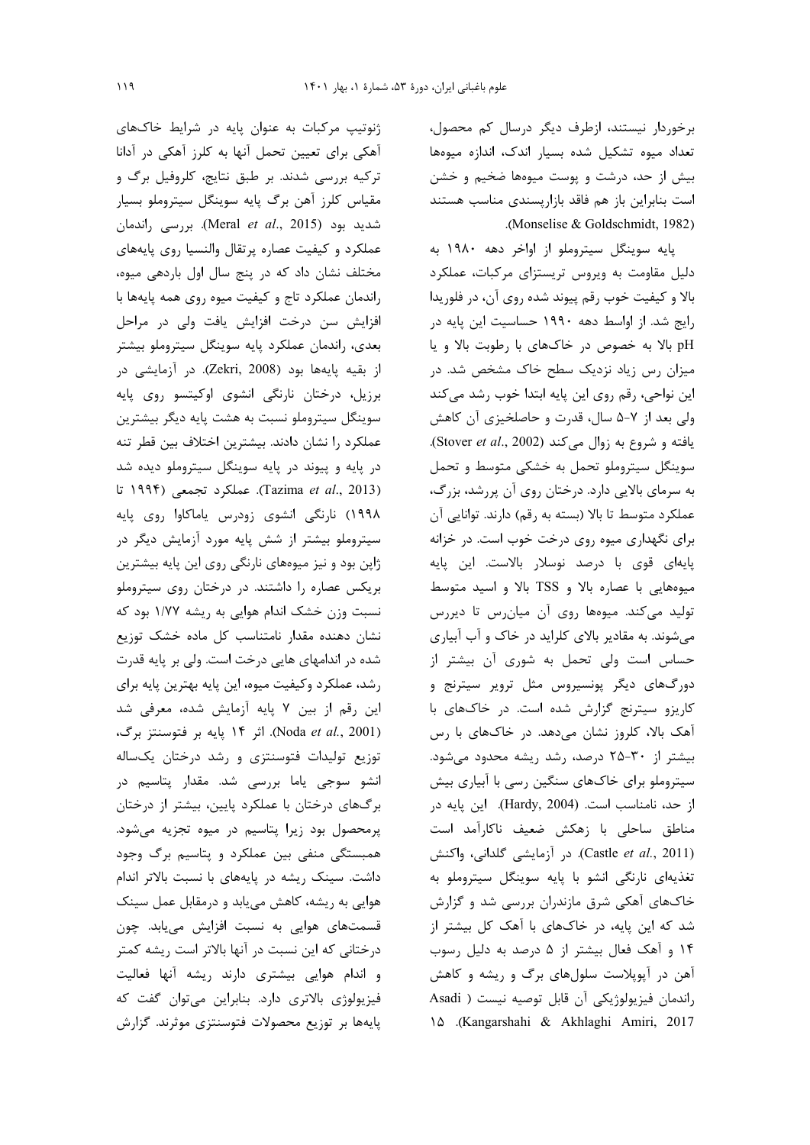برخوردار نیستند، ازطرف دیگر درسال کم محصول، تعداد ميوه تشكيل شده بسيار اندك، اندازه ميوهها بیش از حد، درشت و پوست میوهها ضخیم و خشن است بنابراین باز هم فاقد بازاریسندی مناسب هستند .(Monselise & Goldschmidt, 1982).

پایه سوینگل سیتروملو از اواخر دهه ۱۹۸۰ به دلیل مقاومت به ویروس تریستزای مرکبات، عملکرد بالا و کیفیت خوب رقم پیوند شده روی آن، در فلوریدا رایج شد. از اواسط دهه ۱۹۹۰ حساسیت این پایه در pH بالا به خصوص در خاکهای با رطوبت بالا و یا میزان رس زیاد نزدیک سطح خاک مشخص شد. در این نواحی، رقم روی این پایه ابتدا خوب رشد میکند ولی بعد از ۷-۵ سال، قدرت و حاصلخیزی آن کاهش یافته و شروع به زوال می کند (Stover et al., 2002). سوینگل سیتروملو تحمل به خشکی متوسط و تحمل به سرمای بالایی دارد. درختان روی آن پررشد، بزرگ، عملکرد متوسط تا بالا (بسته به رقم) دارند. توانایی آن برای نگهداری میوه روی درخت خوب است. در خزانه پایهای قوی با درصد نوسلار بالاست. این پایه میوههایی با عصاره بالا و TSS بالا و اسید متوسط تولید میکند. میوهها روی آن میان رس تا دیررس می شوند. به مقادیر بالای کلراید در خاک و آب آبیاری حساس است ولی تحمل به شوری آن بیشتر از دورگهای دیگر پونسیروس مثل ترویر سیترنج و کاریزو سیترنج گزارش شده است. در خاکهای با آهک بالا، کلروز نشان میدهد. در خاکهای با رس بیشتر از ۳۰-۲۵ درصد، رشد ریشه محدود میشود. سیتروملو برای خاکهای سنگین رسی با آبیاری بیش از حد، نامناسب است. (Hardy, 2004). این پایه در مناطق ساحلی با زهکش ضعیف ناکارآمد است (Castle et al., 2011). در آزمایشی گلدانی، واکنش تغذیهای نارنگی انشو با پایه سوینگل سیتروملو به خاکهای آهکی شرق مازندران بررسی شد و گزارش شد که این پایه، در خاکهای با آهک کل بیشتر از ۱۴ و آهک فعال بیشتر از ۵ درصد به دلیل رسوب آهن در آپوپلاست سلولهای برگ و ریشه و کاهش راندمان فيزيولوژيكى آن قابل توصيه نيست ( Asadi 10 (Kangarshahi & Akhlaghi Amiri, 2017

ژنوتیپ مرکبات به عنوان پایه در شرایط خاکهای آهکی برای تعیین تحمل آنها به کلرز آهکی در آدانا ترکیه بررسی شدند. بر طبق نتایج، کلروفیل برگ و مقياس كلرز آهن برگ پايه سوينگل سيتروملو بسيار شديد بود (Meral et al., 2015). بررسی راندمان عملكرد و كيفيت عصاره پرتقال والنسيا روى پايههاى مختلف نشان داد که در پنج سال اول باردهی میوه، راندمان عملكرد تاج و كيفيت ميوه روى همه پايهها با افزایش سن درخت افزایش یافت ولی در مراحل بعدی، راندمان عملکرد پایه سوینگل سیتروملو بیشتر از بقیه پایهها بود (Zekri, 2008). در آزمایشی در برزیل، درختان نارنگی انشوی اوکیتسو روی پایه سوینگل سیتروملو نسبت به هشت پایه دیگر بیشترین عملكرد را نشان دادند. بيشترين اختلاف بين قطر تنه در پایه و پیوند در پایه سوینگل سیتروملو دیده شد (Tazima et al., 2013). عملكرد تجمعي (١٩٩۴ تا ۱۹۹۸) نارنگی انشوی زودرس یاماکاوا روی پایه سیتروملو بیشتر از شش پایه مورد آزمایش دیگر در ژاپن بود و نیز میوههای نارنگی روی این پایه بیشترین بریکس عصاره را داشتند. در درختان روی سیتروملو نسبت وزن خشک اندام هوایی به ریشه ۱/۷۷ بود که نشان دهنده مقدار نامتناسب کل ماده خشک توزیع شده در اندامهای هایی درخت است. ولی بر پایه قدرت رشد، عملکرد وکیفیت میوه، این پایه بهترین پایه برای این رقم از بین ٧ پایه آزمایش شده، معرفی شد (Noda et al., 2001). اثر ۱۴ پایه بر فتوسنتز برگ، توزیع تولیدات فتوسنتزی و رشد درختان یکساله انشو سوجی یاما بررسی شد. مقدار پتاسیم در برگهای درختان با عملکرد پایین، بیشتر از درختان پرمحصول بود زیرا پتاسیم در میوه تجزیه می شود. همبستگی منفی بین عملکرد و پتاسیم برگ وجود داشت. سینک ریشه در پایههای با نسبت بالاتر اندام هوایی به ریشه، کاهش می یابد و درمقابل عمل سینک قسمتهای هوایی به نسبت افزایش مییابد. چون درختانی که این نسبت در آنها بالاتر است ریشه کمتر و اندام هوایی بیشتری دارند ریشه آنها فعالیت فیزیولوژی بالاتری دارد. بنابراین میتوان گفت که پايهها بر توزيع محصولات فتوسنتزى موثرند. گزارش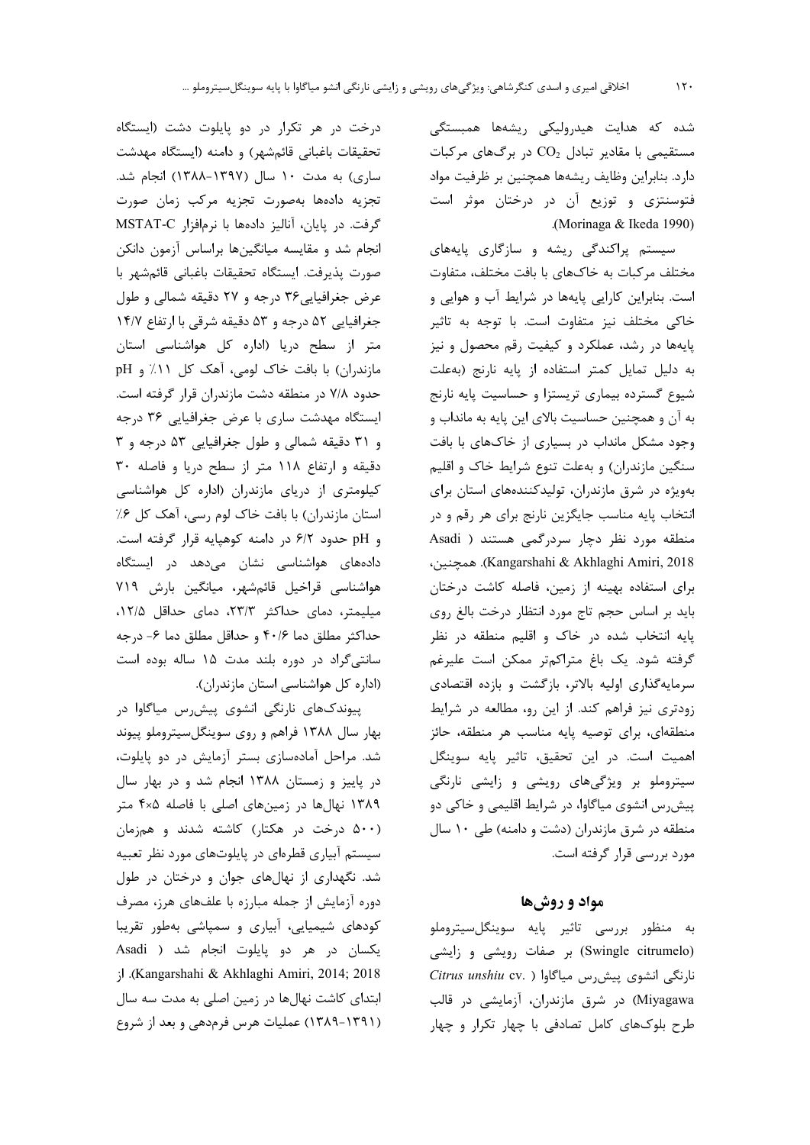شده که هدایت هیدرولیکی ریشهها همبستگی مستقیمی با مقادیر تبادل  $\text{CO}_2$  در برگهای مرکبات دارد. بنابراین وظایف ریشهها همچنین بر ظرفیت مواد فتوسنتزی و توزیع آن در درختان موثر است .(Morinaga & Ikeda 1990)

سیستم پراکندگی ریشه و سازگاری پایههای مختلف مرکبات به خاکهای با بافت مختلف، متفاوت است. بنابراین کارایی پایهها در شرایط آب و هوایی و خاکی مختلف نیز متفاوت است. با توجه به تاثیر پایهها در رشد، عملکرد و کیفیت رقم محصول و نیز به دليل تمايل كمتر استفاده از پايه نارنج (بهعلت شیوع گسترده بیماری تریستزا و حساسیت پایه نارنج به آن و همچنین حساسیت بالای این پایه به مانداب و وجود مشکل مانداب در بسیاری از خاکهای با بافت سنگین مازندران) و بهعلت تنوع شرایط خاک و اقلیم بهویژه در شرق مازندران، تولیدکنندههای استان برای انتخاب پایه مناسب جایگزین نارنج برای هر رقم و در منطقه مورد نظر دچار سردرگمی هستند ( Asadi Kangarshahi & Akhlaghi Amiri, 2018). همچنین، برای استفاده بهینه از زمین، فاصله کاشت درختان بايد بر اساس حجم تاج مورد انتظار درخت بالغ روى پایه انتخاب شده در خاک و اقلیم منطقه در نظر گرفته شود. یک باغ متراکمتر ممکن است علیرغم سرمایهگذاری اولیه بالاتر، بازگشت و بازده اقتصادی زودتری نیز فراهم کند. از این رو، مطالعه در شرایط منطقهای، برای توصیه پایه مناسب هر منطقه، حائز اهميت است. در اين تحقيق، تاثير پايه سوينگل سیتروملو بر ویژگیهای رویشی و زایشی نارنگی پیش رس انشوی میاگاوا، در شرایط اقلیمی و خاکی دو منطقه در شرق مازندران (دشت و دامنه) طی ۱۰ سال مورد بررسی قرار گرفته است.

## مواد و روش ها

به منظور بررسی تاثیر پایه سوینگلسیتروملو (Swingle citrumelo) بر صفات رویشی و زایشی نارنگی انشوی پیش رس میاگاوا ( .Citrus unshiu cv. Miyagawa) در شرق مازندران، آزمایشی در قالب طرح بلوکهای کامل تصادفی با چهار تکرار و چهار

درخت در هر تکرار در دو پایلوت دشت (ایستگاه تحقیقات باغبانی قائمشهر) و دامنه (ایستگاه مهدشت ساری) به مدت ۱۰ سال (۱۳۹۷-۱۳۸۸) انجام شد. تجزيه دادهها بهصورت تجزيه مركب زمان صورت گرفت. در پایان، آنالیز دادهها با نرمافزار MSTAT-C انجام شد و مقایسه میانگینها براساس آزمون دانکن صورت پذیرفت. ایستگاه تحقیقات باغبانی قائمشهر با عرض جغرافیایی ۳۶ درجه و ۲۷ دقیقه شمالی و طول جغرافیایی ۵۲ درجه و ۵۳ دقیقه شرقی با ارتفاع ۱۴/۷ متر از سطح دریا (اداره کل هواشناسی استان مازندران) با بافت خاک لومی، آهک کل ۱۱٪ و pH حدود ۷/۸ در منطقه دشت مازندران قرار گرفته است. ایستگاه مهدشت ساری با عرض جغرافیایی ۳۶ درجه و ٣١ دقيقه شمالي وطول جغرافيايي ٥٣ درجه و ٣ دقیقه و ارتفاع ۱۱۸ متر از سطح دریا و فاصله ۳۰ کیلومتری از دریای مازندران (اداره کل هواشناسی استان مازندران) با بافت خاک لوم رسی، آهک کل ۰٪ و pH حدود ۶/۲ در دامنه کوهیایه قرار گرفته است. دادههای هواشناسی نشان میدهد در ایستگاه هواشناسی قراخیل قائمشهر، میانگین بارش ۷۱۹ میلیمتر، دمای حداکثر ۲۳/۳، دمای حداقل ۱۲/۵، حداكثر مطلق دما ۴۰/۶ و حداقل مطلق دما ۶- درجه سانتی گراد در دوره بلند مدت ۱۵ ساله بوده است (اداره کل هواشناسی استان مازندران).

پیوندکهای نارنگی انشوی پیش رس میاگاوا در بهار سال ۱۳۸۸ فراهم و روی سوینگلسیتروملو پیوند شد. مراحل آمادهسازی بستر آزمایش در دو پایلوت، در پاییز و زمستان ۱۳۸۸ انجام شد و در بهار سال ۱۳۸۹ نهالها در زمینهای اصلی با فاصله ۴×۴ متر (۵۰۰ درخت در هکتار) کاشته شدند و همزمان سیستم آبیاری قطرهای در پایلوتهای مورد نظر تعبیه شد. نگهداری از نهالهای جوان و درختان در طول دوره آزمایش از جمله مبارزه با علفهای هرز، مصرف کودهای شیمیایی، آبیاری و سمپاشی بهطور تقریبا یکسان در هر دو پایلوت انجام شد ( Asadi ;<br />
Kangarshahi & Akhlaghi Amiri, 2014; 2018 ابتدای کاشت نهالها در زمین اصلی به مدت سه سال (۱۳۹۱-۱۳۸۹) عملیات هرس فرمدهی و بعد از شروع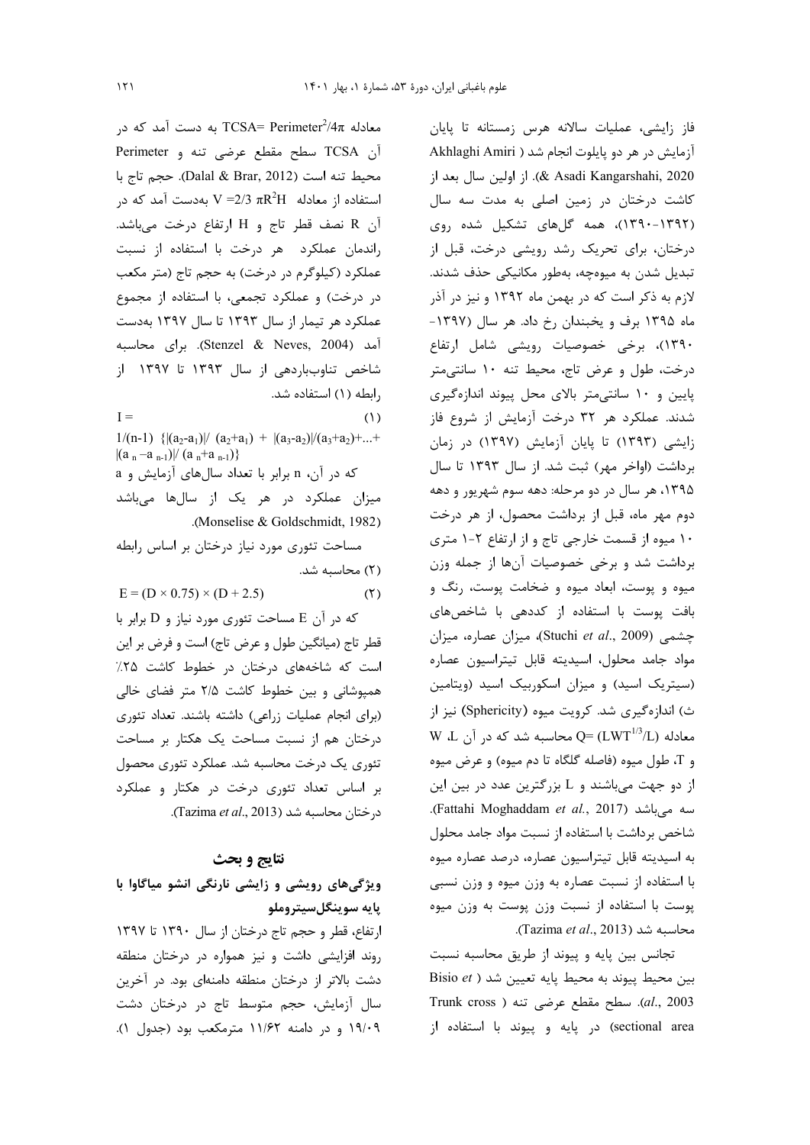معادله TCSA= Perimeter $^2$ 4 $\pi$  به دست آمد که در Perimeter j سطح مقطع عرضى تنه و Perimeter محيط تنه است (Dalal & Brar, 2012). حجم تاج با استفاده از معادله  $\rm R^2H$   $\rm R^2H$  بهدست آمد که در آن R نصف قطر تاج و H ارتفاع درخت مى باشد. راندمان عملکرد هر درخت با استفاده از نسبت عملکرد (کیلوگرم در درخت) به حجم تاج (متر مکعب در درخت) و عملکرد تجمعی، با استفاده از مجموع عملکرد هر تیمار از سال ۱۳۹۳ تا سال ۱۳۹۷ بهدست آمد (Stenzel & Neves, 2004). براي محاسبه شاخص تناوبباردهی از سال ۱۳۹۳ تا ۱۳۹۷ از رابطه (١) استفاده شد.  $I =$ 

 $(1)$  $1/(n-1)$  { $|(a_2-a_1)|/(a_2+a_1) + |(a_3-a_2)|/(a_3+a_2)+...+$  $|(a_n-a_{n-1})|/(a_n+a_{n-1})\}$ 

که در آن، n برابر با تعداد سال های آزمایش و a میزان عملکرد در هر یک از سالها میباشد .(Monselise & Goldschmidt, 1982)

مساحت تئوری مورد نیاز درختان بر اساس رابطه (۲) محاسبه شد.  $F (D \cup 0.75) \cup (D \cup 2.5)$ 

$$
E = (D \times 0.75) \times (D + 2.5)
$$
 (7)

که در آن E مساحت تئوری مورد نیاز و D برابر با قطر تاج (میانگین طول و عرض تاج) است و فرض بر این است که شاخههای درختان در خطوط کاشت ۲۵٪ همیوشانی و بین خطوط کاشت ۲/۵ متر فضای خالی (برای انجام عملیات زراعی) داشته باشند. تعداد تئوری درختان هم از نسبت مساحت یک هکتار بر مساحت تئوری یک درخت محاسبه شد. عملکرد تئوری محصول بر اساس تعداد تئوری درخت در هکتار و عملکرد د, ختان محاسبه شد (Tazima et al., 2013).

### نتايج و بحث

ویژگیهای رویشی و زایشی نارنگی انشو میاگاوا با پايه سوينگلسيتروملو ارتفاع، قطر و حجم تاج درختان از سال ١٣٩٠ تا ١٣٩٧ روند افزایشی داشت و نیز همواره در درختان منطقه دشت بالاتر از درختان منطقه دامنهای بود. در آخرین سال آزمایش، حجم متوسط تاج در درختان دشت ١٩/٠٩ و در دامنه ١١/٤٢ مترمكعب بود (جدول ١).

فاز زایشی، عملیات سالانه هرس زمستانه تا پایان آزمايش در هر دو پايلوت انجام شد ( Akhlaghi Amiri 2020 ,Kangarshahi). از اولین سال بعد از کاشت درختان در زمین اصلی به مدت سه سال (۱۳۹۲-۱۳۹۰)، همه گلهای تشکیل شده روی درختان، برای تحریک رشد رویشی درخت، قبل از تبدیل شدن به میوهچه، بهطور مکانیکی حذف شدند. لازم به ذکر است که در بهمن ماه ۱۳۹۲ و نیز در آذر ماه ۱۳۹۵ برف و یخبندان رخ داد. هر سال (۱۳۹۷-۱۳۹۰)، برخی خصوصیات رویشی شامل ارتفاع درخت، طول و عرض تاج، محیط تنه ١٠ سانتیمتر پایین و ١٠ سانتی متر بالای محل پیوند اندازهگیری شدند. عملکرد هر ۳۲ درخت آزمایش از شروع فاز زایشی (۱۳۹۳) تا پایان آزمایش (۱۳۹۷) در زمان برداشت (اواخر مهر) ثبت شد. از سال ۱۳۹۳ تا سال ۱۳۹۵، هر سال در دو مرحله: دهه سوم شهریور و دهه دوم مهر ماه، قبل از برداشت محصول، از هر درخت ۱۰ میوه از قسمت خارجی تاج و از ارتفاع ۲-۱ متری برداشت شد و برخی خصوصیات آنها از جمله وزن میوه و پوست، ابعاد میوه و ضخامت پوست، رنگ و بافت پوست با استفاده از کددهی با شاخصهای چشمی (Stuchi et al., 2009)، میزان عصاره، میزان مواد جامد محلول، اسيديته قابل تيتراسيون عصاره (سیتریک اسید) و میزان اسکوربیک اسید (ویتامین ث) اندازهگیری شد. کرویت میوه (Sphericity) نیز از W ،L معادله  $Q = (LWT^{1/3}/L)$  محاسبه شد که در آن W و T، طول ميوه (فاصله گلگاه تا دم ميوه) و عرض ميوه از دو جهت میباشند و L بزرگترین عدد در بین این سه میباشد (Fattahi Moghaddam et al., 2017). شاخص برداشت با استفاده از نسبت مواد جامد محلول به اسيديته قابل تيتراسيون عصاره، درصد عصاره ميوه با استفاده از نسبت عصاره به وزن میوه و وزن نسبی پوست با استفاده از نسبت وزن پوست به وزن میوه محاسبه شد (Tazima et al., 2013).

تجانس بين پايه و پيوند از طريق محاسبه نسبت Bisio et ) بين محيط يايه تعيين شد 1003 .al., 2003). سطح مقطع عرضی تنه ( Trunk cross sectional area) در پایه و پیوند با استفاده از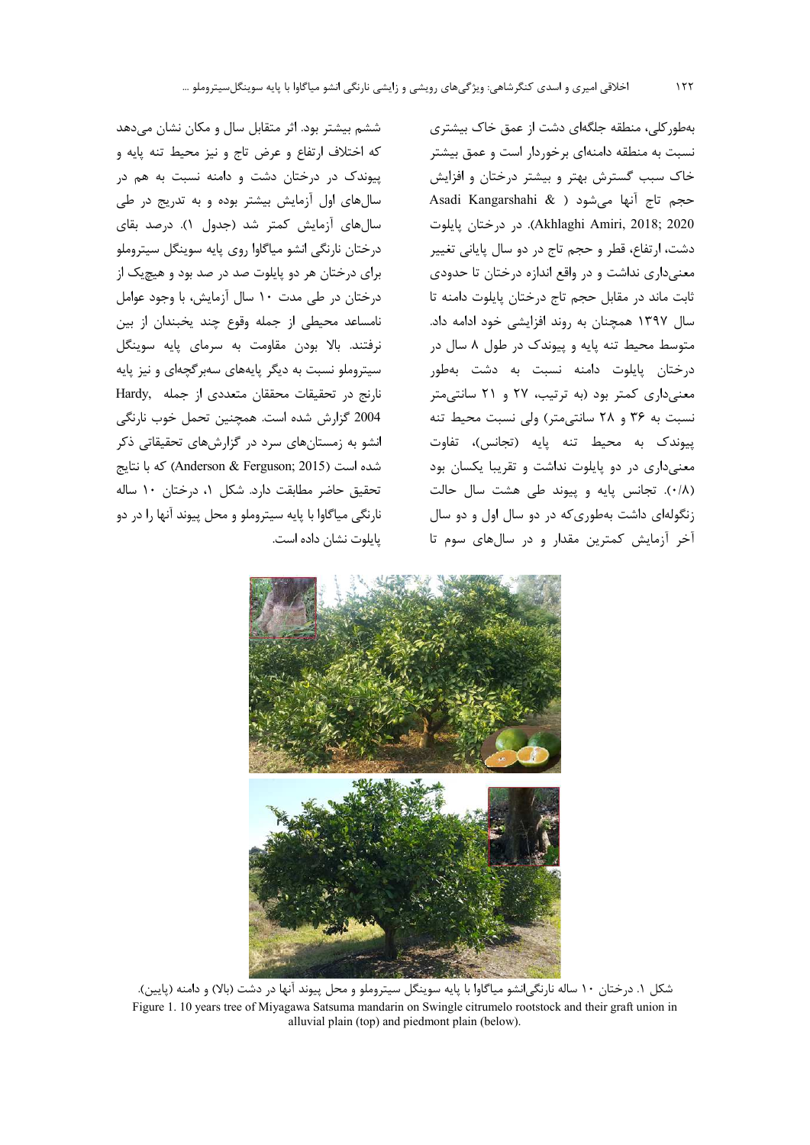ششم بیشتر بود. اثر متقابل سال و مکان نشان میدهد كه اختلاف ارتفاع و عرض تاج و نيز محيط تنه پايه و

پیوندک در درختان دشت و دامنه نسبت به هم در

سال های اول آزمایش بیشتر بوده و به تدریج در طی

سالهای آزمایش کمتر شد (جدول ۱). درصد بقای

درختان نارنگی انشو میاگاوا روی پایه سوینگل سیتروملو

برای درختان هر دو پایلوت صد در صد بود و هیچیک از

درختان در طی مدت ۱۰ سال آزمایش، با وجود عوامل

نامساعد محيطى از جمله وقوع چند يخبندان از بين

نرفتند. بالا بودن مقاومت به سرمای پایه سوینگل

سیتروملو نسبت به دیگر پایههای سهبر گچهای و نیز پایه

نارنج در تحقیقات محققان متعددی از جمله Hardy,

2004 گزارش شده است. همچنین تحمل خوب نارنگی

انشو به زمستانهای سرد در گزارشهای تحقیقاتی ذکر

شده است (Anderson & Ferguson; 2015) كه با نتايج

تحقيق حاضر مطابقت دارد. شكل ١، درختان ١٠ ساله

نارنگی میاگاوا با پایه سیتروملو و محل پیوند آنها را در دو

یایلوت نشان داده است.

بهطور کلی، منطقه جلگهای دشت از عمق خاک بیشتری نسبت به منطقه دامنهای برخوردار است و عمق بیشتر خاک سبب گسترش بهتر و بیشتر درختان و افزایش Asadi Kangarshahi & ) حجم تاج آنها می شود Akhlaghi Amiri, 2018; 2020). در درختان پايلوت دشت، ارتفاع، قطر و حجم تاج در دو سال پایانی تغییر معنیداری نداشت و در واقع اندازه درختان تا حدودی ثابت ماند در مقابل حجم تاج درختان پایلوت دامنه تا سال ۱۳۹۷ همچنان به روند افزایشی خود ادامه داد. متوسط محیط تنه پایه و پیوندک در طول ۸ سال در درختان پایلوت دامنه نسبت به دشت بهطور معنی داری کمتر بود (به ترتیب، ۲۷ و ۲۱ سانتی متر نسبت به ٣۶ و ٢٨ سانتى متر) ولى نسبت محيط تنه پیوندک به محیط تنه پایه (تجانس)، تفاوت معنیداری در دو پایلوت نداشت و تقریبا یکسان بود (٠/٨). تجانس پایه و پیوند طی هشت سال حالت زنگولهای داشت بهطوری که در دو سال اول و دو سال آخر آزمایش کمترین مقدار و در سالهای سوم تا

شکل ۱. درختان ۱۰ ساله نارنگی انشو میاگاوا با پایه سوینگل سیتروملو و محل پیوند آنها در دشت (بالا) و دامنه (پایین). Figure 1. 10 years tree of Miyagawa Satsuma mandarin on Swingle citrumelo rootstock and their graft union in alluvial plain (top) and piedmont plain (below).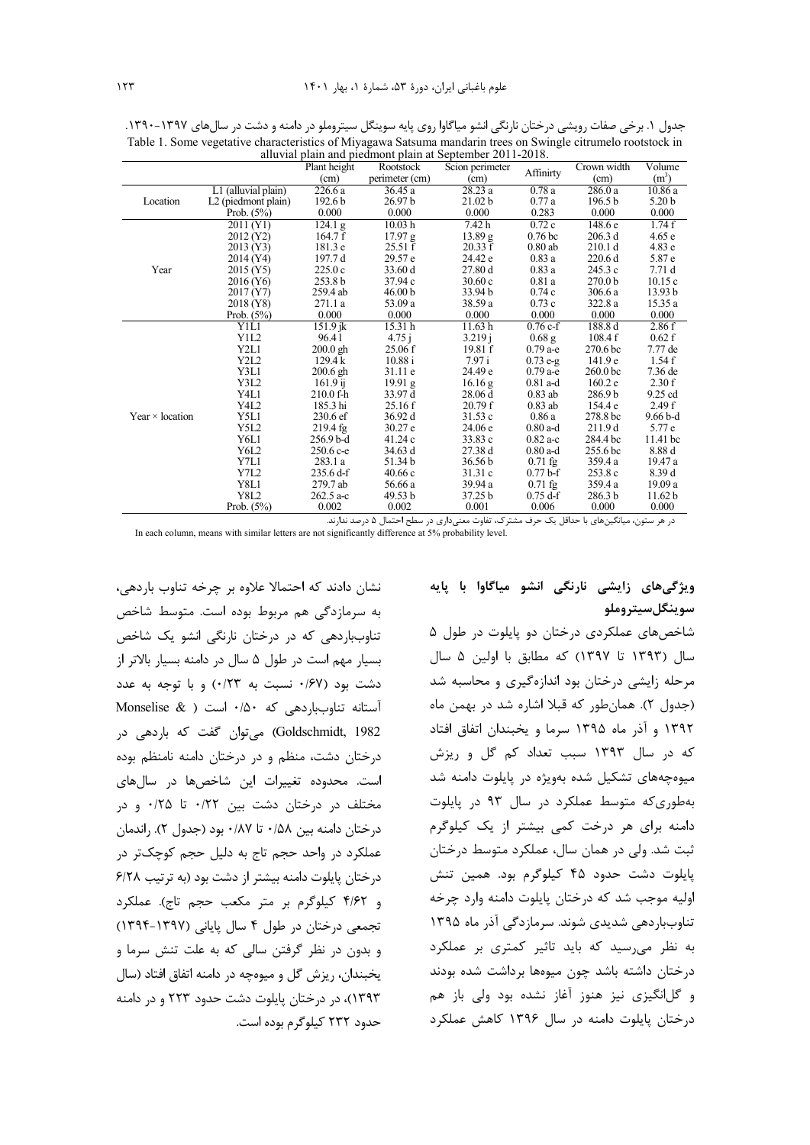|                        |                        | Plant height                           | $\mu$ and $\mu$ and $\mu$ and $\mu$ and $\mu$ and $\mu$ becomes $\mu$ and $\mu$ and $\mu$<br>Rootstock | Scion perimeter      |                    |                                                                                                                                                                                                                                                                                                                                                                                                                                                                                                                                                                                                                     |                   |
|------------------------|------------------------|----------------------------------------|--------------------------------------------------------------------------------------------------------|----------------------|--------------------|---------------------------------------------------------------------------------------------------------------------------------------------------------------------------------------------------------------------------------------------------------------------------------------------------------------------------------------------------------------------------------------------------------------------------------------------------------------------------------------------------------------------------------------------------------------------------------------------------------------------|-------------------|
|                        |                        | (cm)                                   | perimeter (cm)                                                                                         | (cm)                 | Affinirty          | (cm)                                                                                                                                                                                                                                                                                                                                                                                                                                                                                                                                                                                                                | (m <sup>3</sup> ) |
|                        | L1 (alluvial plain)    | 226.6a                                 | 36.45 a                                                                                                | 28.23a               | 0.78a              | 286.0a                                                                                                                                                                                                                                                                                                                                                                                                                                                                                                                                                                                                              | 10.86 a           |
| Location               | L2 (piedmont plain)    | 192.6 <sub>b</sub>                     | 26.97 <sub>b</sub>                                                                                     | 21.02 <sub>b</sub>   | 0.77a              | 196.5 <sub>b</sub>                                                                                                                                                                                                                                                                                                                                                                                                                                                                                                                                                                                                  | 5.20 <sub>b</sub> |
|                        | Prob. $(5%)$           | 0.000                                  | 0.000                                                                                                  | 0.000                | 0.283              | 0.000                                                                                                                                                                                                                                                                                                                                                                                                                                                                                                                                                                                                               | 0.000             |
|                        | 2011 (Y1)              | 124.1 g                                | 10.03 <sub>h</sub>                                                                                     | $\overline{7}$ .42 h | 0.72c              | 148.6 e                                                                                                                                                                                                                                                                                                                                                                                                                                                                                                                                                                                                             | 1.74f             |
|                        | 2012 (Y2)              | 164.7 f                                | 17.97 g                                                                                                | 13.89 g              | 0.76 <sub>bc</sub> | 206.3d                                                                                                                                                                                                                                                                                                                                                                                                                                                                                                                                                                                                              | 4.65e             |
|                        | 2013 (Y3)              | 181.3 e                                | 25.51 f                                                                                                | 20.33 f              | $0.80$ ab          | Crown width<br>Volume<br>4.83e<br>210.1 d<br>220.6d<br>5.87 e<br>245.3 c<br>7.71d<br>270.0 <sub>b</sub><br>10.15c<br>306.6a<br>13.93 <sub>b</sub><br>322.8 a<br>15.35 a<br>0.000<br>0.000<br>2.86f<br>188.8 d<br>108.4f<br>0.62 f<br>7.77 de<br>270.6 <sub>bc</sub><br>1.54f<br>141.9 e<br>260.0 <sub>bc</sub><br>7.36 de<br>2.30 f<br>160.2 e<br>286.9b<br>9.25 cd<br>154.4 e<br>2.49f<br>278.8 bc<br>$9.66b-d$<br>211.9d<br>5.77 e<br>$11.41$ bc<br>284.4 bc<br>8.88 d<br>255.6 bc<br>359.4 a<br>19.47 a<br>8.39 d<br>253.8 c<br>359.4 a<br>19.09 a<br>286.3 <sub>b</sub><br>11.62 <sub>b</sub><br>0.000<br>0.000 |                   |
|                        | 2014 (Y4)              | 197.7d                                 | 29.57 e                                                                                                | 24.42 e              | 0.83a              |                                                                                                                                                                                                                                                                                                                                                                                                                                                                                                                                                                                                                     |                   |
| Year                   | 2015 (Y5)              | 225.0c                                 | 33.60 d                                                                                                | 27.80 d              | 0.83a              |                                                                                                                                                                                                                                                                                                                                                                                                                                                                                                                                                                                                                     |                   |
|                        | 2016 (Y <sub>6</sub> ) | 253.8 <sub>b</sub>                     | 37.94 c                                                                                                | 30.60c               | 0.81a              |                                                                                                                                                                                                                                                                                                                                                                                                                                                                                                                                                                                                                     |                   |
|                        | 2017 (Y7)              | 259.4 ab                               | 46.00 <sub>b</sub>                                                                                     | 33.94 b              | 0.74c              |                                                                                                                                                                                                                                                                                                                                                                                                                                                                                                                                                                                                                     |                   |
|                        | 2018 (Y8)              | 271.1 a                                | 53.09 a                                                                                                | 38.59 a              | 0.73c              |                                                                                                                                                                                                                                                                                                                                                                                                                                                                                                                                                                                                                     |                   |
|                        | Prob. $(5%)$           | 0.000                                  | 0.000                                                                                                  | 0.000                | 0.000              |                                                                                                                                                                                                                                                                                                                                                                                                                                                                                                                                                                                                                     |                   |
|                        | Y1L1                   | $151.9$ jk                             | 15.31h                                                                                                 | 11.63 h              | $0.76c-f$          |                                                                                                                                                                                                                                                                                                                                                                                                                                                                                                                                                                                                                     |                   |
|                        | Y1L2                   | 96.41                                  | 4.75j                                                                                                  | 3.219j               | $0.68$ g           |                                                                                                                                                                                                                                                                                                                                                                                                                                                                                                                                                                                                                     |                   |
|                        | Y2L1                   | $200.0$ gh                             | 25.06 f                                                                                                | 19.81 f              | $0.79$ a-e         |                                                                                                                                                                                                                                                                                                                                                                                                                                                                                                                                                                                                                     |                   |
|                        | Y2L2                   | 129.4k                                 | 10.88 i                                                                                                | 7.97i                | $0.73 e-g$         |                                                                                                                                                                                                                                                                                                                                                                                                                                                                                                                                                                                                                     |                   |
|                        | Y3L1                   | $200.6$ gh                             | 31.11e                                                                                                 | 24.49 e              | $0.79a-e$          |                                                                                                                                                                                                                                                                                                                                                                                                                                                                                                                                                                                                                     |                   |
|                        | Y3L2                   | $161.9$ ij                             | $19.91\$                                                                                               | 16.16 <sub>g</sub>   | $0.81$ a-d         |                                                                                                                                                                                                                                                                                                                                                                                                                                                                                                                                                                                                                     |                   |
|                        | Y4L1                   | 210.0 f h                              | 33.97 d                                                                                                | 28.06d               | $0.83$ ab          |                                                                                                                                                                                                                                                                                                                                                                                                                                                                                                                                                                                                                     |                   |
|                        | Y4L2                   | 185.3 hi                               | 25.16f                                                                                                 | 20.79 f              | $0.83$ ab          |                                                                                                                                                                                                                                                                                                                                                                                                                                                                                                                                                                                                                     |                   |
| Year $\times$ location | Y5L1                   | 230.6 ef                               | 36.92 d                                                                                                | 31.53c               | 0.86a              |                                                                                                                                                                                                                                                                                                                                                                                                                                                                                                                                                                                                                     |                   |
|                        | Y5L2                   | $219.4 \text{ fg}$                     | 30.27 e                                                                                                | 24.06 e              | $0.80$ a-d         |                                                                                                                                                                                                                                                                                                                                                                                                                                                                                                                                                                                                                     |                   |
|                        | Y6L1                   | 256.9 b-d                              | 41.24 c                                                                                                | 33.83 c              | $0.82$ a-c         |                                                                                                                                                                                                                                                                                                                                                                                                                                                                                                                                                                                                                     |                   |
|                        | Y6L2                   | 250.6 c-e                              | 34.63 d                                                                                                | 27.38 d              | $0.80$ a-d         |                                                                                                                                                                                                                                                                                                                                                                                                                                                                                                                                                                                                                     |                   |
|                        | Y7L1                   | 283.1 a                                | 51.34 b                                                                                                | 36.56 <sub>b</sub>   | $0.71$ fg          |                                                                                                                                                                                                                                                                                                                                                                                                                                                                                                                                                                                                                     |                   |
|                        | Y7L2                   | $235.6 \,\mathrm{d}\text{-}\mathrm{f}$ | 40.66c                                                                                                 | 31.31c               | $0.77 b-f$         |                                                                                                                                                                                                                                                                                                                                                                                                                                                                                                                                                                                                                     |                   |
|                        | Y8L1                   | 279.7 ab                               | 56.66 a                                                                                                | 39.94 a              | $0.71$ fg          |                                                                                                                                                                                                                                                                                                                                                                                                                                                                                                                                                                                                                     |                   |
|                        | <b>Y8L2</b>            | $262.5$ a-c                            | 49.53 b                                                                                                | 37.25 b              | $0.75 \text{ d-f}$ |                                                                                                                                                                                                                                                                                                                                                                                                                                                                                                                                                                                                                     |                   |
|                        | Prob. $(5%)$           | 0.002                                  | 0.002                                                                                                  | 0.001                | 0.006              |                                                                                                                                                                                                                                                                                                                                                                                                                                                                                                                                                                                                                     |                   |

جدول ۱. برخی صفات رویشی درختان نارنگی انشو میاگاوا روی پایه سوینگل سیتروملو در دامنه و دشت در سالهای ۱۳۹۷-۱۳۹۰. Table 1. Some vegetative characteristics of Miyagawa Satsuma mandarin trees on Swingle citrumelo rootstock in alluvial plain and piedmont plain at September 2011-2018

در هر ستون، میانگینهای با حداقل یک حرف مشترک، تفاوت معنیداری در سطح احتمال ۵ درصد ندارند.

In each column, means with similar letters are not significantly difference at 5% probability level.

نشان دادند که احتمالا علاوه بر چرخه تناوب باردهی، به سرمازدگی هم مربوط بوده است. متوسط شاخص تناوبباردهی که در درختان نارنگی انشو یک شاخص بسیار مهم است در طول ۵ سال در دامنه بسیار بالاتر از دشت بود (۶۷ نسبت به ۰/۲۳) و با توجه به عدد آستانه تناوبباردهی که ۰/۵۰ است ( Monselise & Goldschmidt, 1982) میتوان گفت که باردهی در درختان دشت، منظم و در درختان دامنه نامنظم بوده است. محدوده تغییرات این شاخصها در سالهای مختلف در درختان دشت بین ۰/۲۲ تا ۰/۲۵ و در درختان دامنه بين ۵۸/۰ تا ۰/۵۷ بود (جدول ۲). راندمان عملکرد در واحد حجم تاج به دلیل حجم کوچکتر در درختان پایلوت دامنه بیشتر از دشت بود (به ترتیب ۶/۲۸ و ۴/۶۲ كيلوگرم بر متر مكعب حجم تاج). عملكرد تجمعی درختان در طول ۴ سال پایانی (۱۳۹۷-۱۳۹۴) و بدون در نظر گرفتن سالی که به علت تنش سرما و يخبندان، ريزش گل و ميوهچه در دامنه اتفاق افتاد (سال ١٣٩٣)، در درختان پایلوت دشت حدود ٢٢٣ و در دامنه حدود ۲۳۲ کیلوگرم بوده است.

ویژگیهای زایشی نارنگی انشو میاگاوا با پایه سوينگلسيتروملو

شاخصهای عملکردی درختان دو پایلوت در طول ۵ سال (۱۳۹۳ تا ۱۳۹۷) که مطابق با اولین ۵ سال مرحله زایشی درختان بود اندازهگیری و محاسبه شد (جدول ٢). همان طور كه قبلا اشاره شد در بهمن ماه ۱۳۹۲ و آذر ماه ۱۳۹۵ سرما و یخبندان اتفاق افتاد که در سال ۱۳۹۳ سبب تعداد کم گل و ریزش میوهچههای تشکیل شده بهویژه در پایلوت دامنه شد بهطوری که متوسط عملکرد در سال ۹۳ در پایلوت دامنه برای هر درخت کمی بیشتر از یک کیلوگرم ثبت شد. ولی در همان سال، عملکرد متوسط درختان پایلوت دشت حدود ۴۵ کیلوگرم بود. همین تنش اوليه موجب شد كه درختان پايلوت دامنه وارد چرخه تناوبباردهی شدیدی شوند. سرمازدگی آذر ماه ۱۳۹۵ به نظر می رسید که باید تاثیر کمتری بر عملکرد درختان داشته باشد چون میوهها برداشت شده بودند و گل انگیزی نیز هنوز آغاز نشده بود ولی باز هم درختان پایلوت دامنه در سال ۱۳۹۶ کاهش عملکرد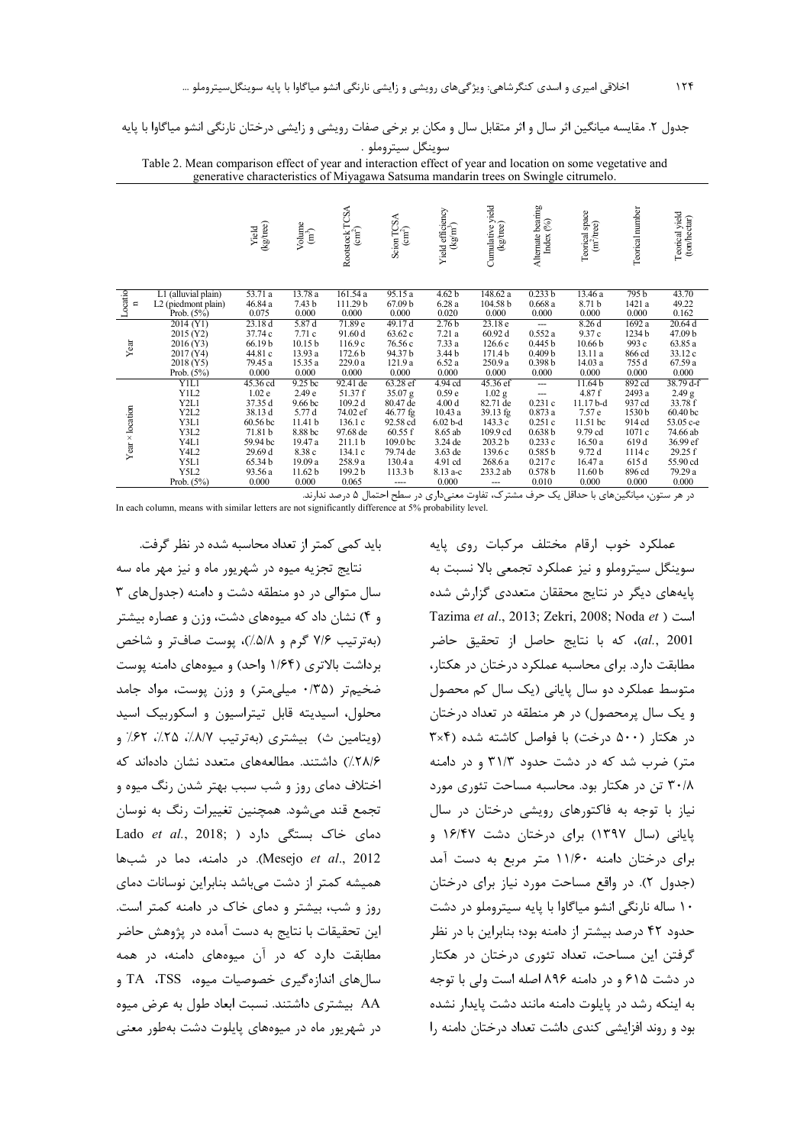جدول ۲. مقایسه میانگین اثر سال و اثر متقابل سال و مکان بر برخی صفات رویشی و زایشی درختان نارنگی انشو میاگاوا با پایه سوينگل سيتروملو .

Table 2. Mean comparison effect of year and interaction effect of year and location on some vegetative and generative characteristics of Miyagawa Satsuma mandarin trees on Swingle citrumelo.

|                        |                               | (kg/tree)<br>Yield | $\begin{array}{c} \text{Volume}\\ \text{(m}^3) \end{array}$ | TCSA<br>Rootstock T<br>(cm <sup>2</sup> ) | Scion TCSA<br>$\sin^2$     | Yield efficiency<br>(kg/m <sup>3</sup> ) | Cumulative yield<br>(kg/tree) | Alternate bearing<br>Index (%) | Teorical space<br>$(m^2$ /tree) | Teorical number | Teorical yield<br>(ton/hectar) |
|------------------------|-------------------------------|--------------------|-------------------------------------------------------------|-------------------------------------------|----------------------------|------------------------------------------|-------------------------------|--------------------------------|---------------------------------|-----------------|--------------------------------|
| Locatio                | L1 (alluvial plain)           | 53.71a             | 13.78 a                                                     | 161.54 a                                  | 95.15a                     | 4.62 b                                   | 148.62 a                      | 0.233 b                        | 13.46 a                         | 795b            | 43.70                          |
| $\blacksquare$         | L2 (piedmont plain)           | 46.84 a            | 7.43 b                                                      | 111.29 b                                  | 67.09 b                    | 6.28a                                    | 104.58 b                      | 0.668a                         | 8.71 b                          | 1421 a          | 49.22                          |
|                        | Prob. (5%)                    | 0.075              | 0.000                                                       | 0.000                                     | 0.000                      | 0.020                                    | 0.000                         | 0.000                          | 0.000                           | 0.000           | 0.162                          |
|                        | 2014 (Y1)                     | 23.18 d            | 5.87 d                                                      | 71.89 e                                   | 49.17d                     | 2.76 <sub>b</sub>                        | 23.18e                        | $\overline{a}$                 | 8.26d                           | 1692 a          | 20.64 d                        |
|                        | 2015 (Y2)                     | 37.74 c            | 7.71c                                                       | 91.60 d                                   | 63.62 c                    | 7.21a                                    | 60.92d                        | 0.552a                         | 9.37c                           | 1234 b          | 47.09 b                        |
| Year                   | 2016(Y3)                      | 66.19b             | 10.15 <sub>b</sub>                                          | 116.9c                                    | 76.56 c                    | 7.33a                                    | 126.6c                        | 0.445 b                        | 10.66 <sub>b</sub>              | 993 c           | 63.85 a                        |
|                        | 2017 (Y4)                     | 44.81 c            | 13.93 a                                                     | 172.6 <sub>b</sub>                        | 94.37b                     | 3.44 b                                   | 171.4b                        | 0.409 <sub>b</sub>             | 13.11 a                         | 866 cd          | 33.12 c                        |
|                        | 2018 (Y5)                     | 79.45 a            | 15.35 a                                                     | 229.0a                                    | 121.9 a                    | 6.52a                                    | 250.9 a                       | 0.398 <sub>b</sub>             | 14.03 a                         | 755 d           | 67.59 a                        |
|                        | Prob. (5%)                    | 0.000              | 0.000                                                       | 0.000                                     | 0.000                      | 0.000                                    | 0.000                         | 0.000                          | 0.000                           | 0.000           | 0.000                          |
|                        | <b>YIL1</b>                   | 45.36 cd           | 9.25 <sub>bc</sub>                                          | 92.41 de                                  | 63.28 ef                   | 4.94 cd                                  | 45.36 ef                      | ---                            | 11.64 b                         | 892 cd          | 38.79 d-f                      |
|                        | Y <sub>1</sub> L <sub>2</sub> | 1.02 <sub>e</sub>  | 2.49 <sub>e</sub>                                           | 51.37 f                                   | 35.07 g                    | 0.59 <sub>e</sub>                        | $1.02$ g                      | ---                            | 4.87f                           | 2493 a          | 2.49 <sub>g</sub>              |
|                        | Y2L1                          | 37.35 d            | 9.66 bc                                                     | 109.2 d                                   | 80.47 de                   | 4.00 <sub>d</sub>                        | 82.71 de                      | 0.231c                         | 11.17 b-d                       | 937 cd          | 33.78 f                        |
|                        | Y <sub>2</sub> L <sub>2</sub> | 38.13 d            | 5.77 d                                                      | 74.02 ef                                  | 46.77 fg                   | 10.43a                                   | 39.13 fg                      | 0.873a                         | 7.57 e                          | 1530b           | 60.40 <sub>bc</sub>            |
|                        | Y3L1                          | 60.56 bc           | 11.41 b                                                     | 136.1c                                    | 92.58 cd                   | $6.02b-d$                                | 143.3c                        | 0.251c                         | 11.51 bc                        | 914 cd          | 53.05 c-e                      |
|                        | Y3L2                          | 71.81 b            | 8.88 bc                                                     | 97.68 de                                  | 60.55 f                    | 8.65 ab                                  | 109.9 cd                      | 0.638 b                        | 9.79 cd                         | 1071c           | 74.66 ab                       |
| Year $\times$ location | Y4L1                          | 59.94 bc           | 19.47 a                                                     | 211.1 <sub>b</sub>                        | 109.0 bc                   | 3.24 de                                  | 203.2 b                       | 0.233c                         | 16.50 a                         | 619 d           | 36.99 ef                       |
|                        | Y4L2                          | 29.69 d<br>65.34b  | 8.38 c<br>19.09 a                                           | 134.1 c                                   | 79.74 de                   | 3.63 de                                  | 139.6c                        | 0.585 b                        | 9.72d                           | 1114c           | 29.25 f                        |
|                        | Y5L1<br>Y5L2                  |                    |                                                             | 258.9 a                                   | 130.4 a                    | 4.91 cd                                  | 268.6 a                       | 0.217c                         | 16.47 a                         | 615 d           | 55.90 cd                       |
|                        | Prob. (5%)                    | 93.56 a<br>0.000   | 11.62 <sub>b</sub><br>0.000                                 | 199.2 b<br>0.065                          | 113.3 <sub>b</sub><br>---- | 8.13 a-c<br>0.000                        | 233.2 ab                      | 0.578 b<br>0.010               | 11.60 <sub>b</sub><br>0.000     | 896 cd<br>0.000 | 79.29 a<br>0.000               |
|                        |                               |                    |                                                             |                                           |                            |                                          |                               |                                |                                 |                 |                                |

در هر ستون، میانگینهای با حداقل یک حرف مشترک، تفاوت معنیداری در سطح احتمال ۵ درصد ندارند.<br>.In each column, means with similar letters are not significantly difference at 5% probability level.

باید کمی کمتر از تعداد محاسبه شده در نظر گرفت. نتایج تجزیه میوه در شهریور ماه و نیز مهر ماه سه سال متوالی در دو منطقه دشت و دامنه (جدول های ۳ و ۴) نشان داد که میوههای دشت، وزن و عصاره بیشتر (بهترتيب ٧/۶ گرم و ۵/٨/)، پوست صافتر و شاخص برداشت بالاتری (۱/۶۴ واحد) و میوههای دامنه یوست ضخیم تر (۰/۳۵ میلی متر) و وزن پوست، مواد جامد محلول، اسیدیته قابل تیتراسیون و اسکوربیک اسید (ويتامين ث) بيشتري (بهترتيب ٨/٧/، ٢۵/، ٣٢/ و. ٢٨/۶)) داشتند. مطالعههای متعدد نشان دادهاند که اختلاف دمای روز و شب سبب بهتر شدن رنگ میوه و تجمع قند می شود. همچنین تغییرات رنگ به نوسان دمای خاک بستگی دارد ( Lado et al., 2018; Mesejo et al., 2012). در دامنه، دما در شبها همیشه کمتر از دشت میباشد بنابراین نوسانات دمای روز و شب، بیشتر و دمای خاک در دامنه کمتر است. این تحقیقات با نتایج به دست آمده در پژوهش حاضر مطابقت دارد که در آن میوههای دامنه، در همه سالهای اندازهگیری خصوصیات میوه، TSS، Ta AA بیشتری داشتند. نسبت ابعاد طول به عرض میوه در شهریور ماه در میوههای پایلوت دشت بهطور معنی

عملکرد خوب ارقام مختلف مرکبات روی پایه سوینگل سیتروملو و نیز عملکرد تجمعی بالا نسبت به پایههای دیگر در نتایج محققان متعددی گزارش شده Tazima et al., 2013; Zekri, 2008; Noda et ) al., 2001)، كه با نتايج حاصل از تحقيق حاضر مطابقت دارد. برای محاسبه عملکرد درختان در هکتار، متوسط عملکرد دو سال پایانی (یک سال کم محصول و یک سال پرمحصول) در هر منطقه در تعداد درختان در هكتار (۵۰۰ درخت) با فواصل كاشته شده (۳×۳ متر) ضرب شد که در دشت حدود ۳۱/۳ و در دامنه ۳۰/۸ تن در هکتار بود. محاسبه مساحت تئوری مورد نیاز با توجه به فاکتورهای رویشی درختان در سال یابانی (سال ۱۳۹۷) برای درختان دشت ۱۶/۴۷ و برای درختان دامنه ۱۱/۶۰ متر مربع به دست آمد (جدول ٢). در واقع مساحت مورد نياز براي درختان ۱۰ ساله نارنگی انشو میاگاوا با پایه سیتروملو در دشت حدود ۴۲ درصد بیشتر از دامنه بود؛ بنابراین با در نظر گرفتن این مساحت، تعداد تئوری درختان در هکتار در دشت ۶۱۵ و در دامنه ۸۹۶ اصله است ولی با توجه به اینکه رشد در پایلوت دامنه مانند دشت پایدار نشده بود و روند افزایشی کندی داشت تعداد درختان دامنه را

 $15f$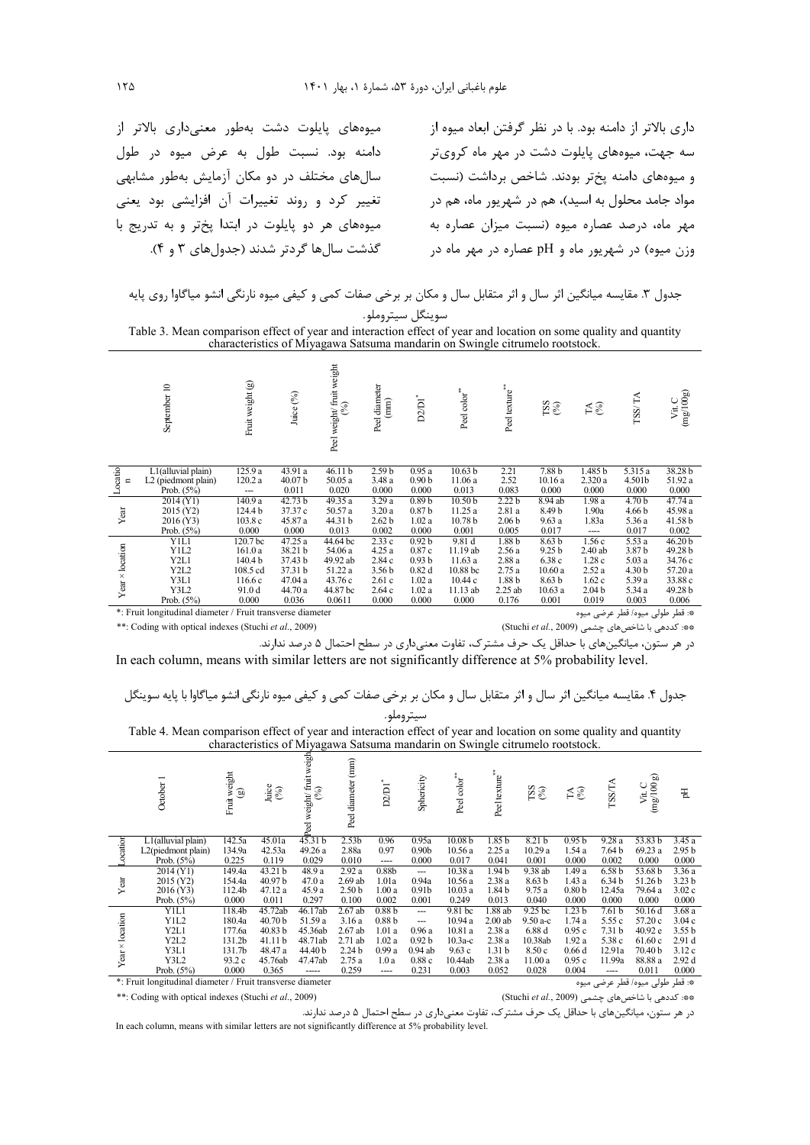میوههای پایلوت دشت بهطور معنیداری بالاتر از دامنه بود. نسبت طول به عرض میوه در طول سال های مختلف در دو مکان آزمایش بهطور مشابهی تغییر کرد و روند تغییرات آن افزایشی بود یعنی میوههای هر دو پایلوت در ابتدا پختر و به تدریج با گذشت سال ها گردتر شدند (جدول های ۳ و ۴).

داری بالاتر از دامنه بود. با در نظر گرفتن ابعاد میوه از سه جهت، میوههای پایلوت دشت در مهر ماه کرویتر و میوههای دامنه پختر بودند. شاخص برداشت (نسبت مواد جامد محلول به اسید)، هم در شهریور ماه، هم در مهر ماه، درصد عصاره میوه (نسبت میزان عصاره به وزن میوه) در شهریور ماه و pH عصاره در مهر ماه در

جدول ۳. مقایسه میانگین اثر سال و اثر متقابل سال و مکان بر برخی صفات کمی و کیفی میوه نارنگی انشو میاگاوا روی پایه سوينگل سيتروملو.

Table 3. Mean comparison effect of year and interaction effect of year and location on some quality and quantity characteristics of Miyagawa Satsuma mandarin on Swingle citrumelo rootstock.

|                 | September 10                                                                                  | Fruit weight (g) | Juice (%)                   | Peel weight/fruit weight<br>(%) | Peel diameter<br>(mm) | ۰<br>D <sub>2</sub> D <sub>1</sub> | Peel color <sup>**</sup> | Peel texture"     | ${}^{128}_{(80)}$ | $\mathbb{E} \mathbb{S}$ | TSS/TA            | $\operatorname*{Vir}C\left( \operatorname*{img}/100g\right)$ |
|-----------------|-----------------------------------------------------------------------------------------------|------------------|-----------------------------|---------------------------------|-----------------------|------------------------------------|--------------------------|-------------------|-------------------|-------------------------|-------------------|--------------------------------------------------------------|
| Locatio         | L1(alluvial plain)                                                                            | 125.9 a          | 43.91 a                     | 46.11 <sub>b</sub>              | 2.59 <sub>b</sub>     | 0.95a                              | 10.63 <sub>b</sub>       | 2.21              | 7.88 <sub>b</sub> | 1.485b                  | 5.315 a           | 38.28 b                                                      |
| $\blacksquare$  | L <sub>2</sub> (piedmont plain)<br>Prob. $(5%)$                                               | 120.2a           | 40.07 <sub>b</sub><br>0.011 | 50.05 a<br>0.020                | 3.48a<br>0.000        | 0.90 <sub>b</sub><br>0.000         | 11.06 a<br>0.013         | 2.52<br>0.083     | 10.16a<br>0.000   | 2.320a<br>0.000         | 4.501b<br>0.000   | 51.92 a<br>0.000                                             |
|                 |                                                                                               | ---              |                             |                                 |                       |                                    |                          |                   |                   |                         |                   |                                                              |
|                 | 2014 (Y1)                                                                                     | 140.9 a          | 42.73 b                     | 49.35 a                         | 3.29a                 | 0.89 <sub>b</sub>                  | 10.50 <sub>b</sub>       | 2.22 <sub>b</sub> | 8.94 ab           | 1.98a                   | 4.70 <sub>b</sub> | 47.74 a                                                      |
| Year            | 2015 (Y2)                                                                                     | 124.4 b          | 37.37 c                     | 50.57 a                         | 3.20a                 | 0.87 <sub>b</sub>                  | 11.25 a                  | 2.81 a            | 8.49 b            | 1.90a                   | 4.66 b            | 45.98 a                                                      |
|                 | 2016 (Y3)                                                                                     | 103.8c           | 45.87 a                     | 44.31 b                         | 2.62 <sub>b</sub>     | 1.02a                              | 10.78 <sub>b</sub>       | 2.06 <sub>b</sub> | 9.63a             | 1.83a                   | 5.36 a            | 41.58 b                                                      |
|                 | Prob. $(5%)$                                                                                  | 0.000            | 0.000                       | 0.013                           | 0.002                 | 0.000                              | 0.001                    | 0.005             | 0.017             | ----                    | 0.017             | 0.002                                                        |
|                 | Y1L1                                                                                          | 120.7 bc         | 47.25 a                     | 44.64 bc                        | 2.33c                 | 0.92 <sub>b</sub>                  | 9.81 d                   | 1.88 <sub>b</sub> | 8.63 <sub>b</sub> | 1.56c                   | 5.53 a            | 46.20 <sub>b</sub>                                           |
|                 | Y1L2                                                                                          | 161.0a           | 38.21 b                     | 54.06 a                         | 4.25a                 | 0.87c                              | 11.19 ab                 | 2.56a             | 9.25 <sub>b</sub> | $2.40$ ab               | 3.87 b            | 49.28 b                                                      |
|                 | Y2L1                                                                                          | 140.4 b          | 37.43 b                     | 49.92 ab                        | 2.84 c                | 0.93 <sub>b</sub>                  | 11.63a                   | 2.88a             | 6.38c             | 1.28c                   | 5.03a             | 34.76 c                                                      |
|                 | Y2L2                                                                                          | 108.5 cd         | 37.31 b                     | 51.22 a                         | 3.56 <sub>b</sub>     | 0.82d                              | 10.88 bc                 | 2.75a             | 10.60a            | 2.52a                   | 4.30 <sub>b</sub> | 57.20 a                                                      |
| Year × location | Y3L1                                                                                          | 116.6c           | 47.04 a                     | 43.76 c                         | 2.61c                 | 1.02a                              | 10.44 c                  | 1.88 <sub>b</sub> | 8.63 <sub>b</sub> | 1.62c                   | 5.39 a            | 33.88 c                                                      |
|                 | Y3L2                                                                                          | 91.0 d           | 44.70 a                     | 44.87 bc                        | 2.64c                 | 1.02a                              | 11.13 ab                 | $2.25$ ab         | 10.63a            | 2.04 <sub>b</sub>       | 5.34 a            | 49.28 b                                                      |
|                 | Prob. $(5\%)$                                                                                 | 0.000            | 0.036                       | 0.0611                          | 0.000                 | 0.000                              | 0.000                    | 0.176             | 0.001             | 0.019                   | 0.003             | 0.006                                                        |
|                 | *: Fruit longitudinal diameter / Fruit transverse diameter<br>*: قطر طولی میوه/ قطر عرضی میوه |                  |                             |                                 |                       |                                    |                          |                   |                   |                         |                   |                                                              |

\*\*: Coding with optical indexes (Stuchi et al., 2009)

\*\*: كددهی با شاخصهای چشمی (Stuchi et al., 2009)

در هر ستون، میانگینهای با حداقل یک حرف مشترک، تفاوت معنیداری در سطح احتمال ۵ درصد ندارند. In each column, means with similar letters are not significantly difference at 5% probability level.

Table 4. Mean comparison effect of year and interaction effect of year and location on some quality and quantity characteristics of Miyagawa Satsuma mandarin on Swingle citrumelo rootstock.

|                                                                               | October 1          | Fruit weight<br>(g) | Juice $^{(96)}$    | I weight/ fruit weight<br>Peel | Peel diameter (mm) | D2/D1             | Sphericity        | Peel color <sup>**</sup> | Peel texture"     | $\underset{\text{CSZ}}{\text{NS}}$ | $\mathop{\mathsf{FA}}\limits_{(\%)}$ | <b>TSSTA</b>      | $\frac{\rm Vit\,C}{\rm (mg/100\,g)}$ | E                 |
|-------------------------------------------------------------------------------|--------------------|---------------------|--------------------|--------------------------------|--------------------|-------------------|-------------------|--------------------------|-------------------|------------------------------------|--------------------------------------|-------------------|--------------------------------------|-------------------|
| cation                                                                        | L1(alluvial plain) | 142.5a              | 45.01a             | 45.31 <sub>b</sub>             | 2.53 <sub>b</sub>  | 0.96              | 0.95a             | 10.08 b                  | 1.85 <sub>b</sub> | 8.21 <sub>b</sub>                  | 0.95 <sub>b</sub>                    | 9.28a             | 53.83 <sub>b</sub>                   | 3.45a             |
|                                                                               | L2(piedmont plain) | 134.9a              | 42.53a             | 49.26a                         | 2.88a              | 0.97              | 0.90 <sub>b</sub> | 10.56a                   | 2.25a             | 10.29a                             | 1.54 a                               | 7.64 b            | 69.23 a                              | 2.95 <sub>b</sub> |
|                                                                               | Prob. $(5%)$       | 0.225               | 0.119              | 0.029                          | 0.010              | ----              | 0.000             | 0.017                    | 0.041             | 0.001                              | 0.000                                | 0.002             | 0.000                                | 0.000             |
|                                                                               | 2014 (Y1)          | 149.4a              | 43.21 b            | 48.9 a                         | 2.92a              | 0.88b             | $\overline{a}$    | 10.38 a                  | 1.94 b            | 9.38 ab                            | 1.49 a                               | 6.58 b            | 53.68 b                              | 3.36 a            |
| Year                                                                          | 2015 (Y2)          | 154.4a              | 40.97 <sub>b</sub> | 47.0a                          | $2.69$ ab          | 1.01a             | 0.94a             | 10.56a                   | 2.38 a            | 8.63 <sub>b</sub>                  | 1.43 a                               | 6.34 <sub>b</sub> | 51.26 b                              | 3.23 <sub>b</sub> |
|                                                                               | 2016 (Y3)          | 112.4b              | 47.12 a            | 45.9 a                         | 2.50 <sub>b</sub>  | 1.00a             | 0.91 <sub>b</sub> | 10.03a                   | 1.84 b            | 9.75a                              | 0.80 <sub>b</sub>                    | 12.45a            | 79.64 a                              | 3.02c             |
|                                                                               | Prob. $(5%)$       | 0.000               | 0.011              | 0.297                          | 0.100              | 0.002             | 0.001             | 0.249                    | 0.013             | 0.040                              | 0.000                                | 0.000             | 0.000                                | 0.000             |
|                                                                               | Y1L1               | 118.4b              | 45.72ab            | 46.17ab                        | $2.67$ ab          | 0.88 <sub>b</sub> | $\sim$ $\sim$     | 9.81 <sub>bc</sub>       | 1.88 ab           | 9.25 <sub>bc</sub>                 | 1.23 <sub>b</sub>                    | 7.61 b            | 50.16d                               | 3.68a             |
| $Year \times location$                                                        | Y1L2               | 180.4a              | 40.70 <sub>b</sub> | 51.59 a                        | 3.16a              | 0.88 <sub>b</sub> | ---               | 10.94 a                  | 2.00ab            | $9.50a-c$                          | 1.74a                                | 5.55 c            | 57.20 c                              | 3.04c             |
|                                                                               | Y <sub>2L1</sub>   | 177.6a              | 40.83 <sub>b</sub> | 45.36ab                        | $2.67$ ab          | 1.01a             | 0.96a             | 10.81a                   | 2.38a             | 6.88d                              | 0.95c                                | 7.31 <sub>b</sub> | 40.92 e                              | 3.55 <sub>b</sub> |
|                                                                               | Y2L2               | 131.2b              | 41.11b             | 48.71ab                        | $2.71$ ab          | 1.02a             | 0.92 <sub>b</sub> | $10.3a-c$                | 2.38a             | 10.38ab                            | 1.92a                                | 5.38 c            | 61.60c                               | 2.91 <sub>d</sub> |
|                                                                               | Y3L1               | 131.7b              | 48.47 a            | 44.40 b                        | 2.24 <sub>b</sub>  | 0.99a             | $0.94$ ab         | 9.63c                    | 1.31 <sub>b</sub> | 8.50c                              | 0.66d                                | 12.91a            | 70.40 b                              | 3.12c             |
|                                                                               | Y3L2               | 93.2c               | 45.76ab            | 47.47ab                        | 2.75a              | 1.0a              | 0.88c             | 10.44ab                  | 2.38a             | 11.00a                             | 0.95c                                | 11.99a            | 88.88 a                              | 2.92d             |
|                                                                               | Prob. $(5%)$       | 0.000               | 0.365              | -----                          | 0.259              | ----              | 0.231             | 0.003                    | 0.052             | 0.028                              | 0.004                                | ----              | 0.011                                | 0.000             |
| ★ 『Euris Louistandine』 diamonator / Euris and normal diamonator<br>1.7.1<br>. |                    |                     |                    |                                |                    |                   |                   |                          |                   |                                    |                                      |                   |                                      |                   |

\*: Fruit longitudinal diameter / Fruit transverse diameter

در هر ستون، میانگینهای با حداقل یک حرف مشترک، تفاوت معنیداری در سطح احتمال ۵ درصد ندارند.<br>.In each column, means with similar letters are not significantly difference at 5% probability level

<sup>\*:</sup> قطر طولی میوه/ قطر عرضی میوه \*\*: كددهى با شاخص هاى چشمى (Stuchi et al., 2009)

<sup>\*\*:</sup> Coding with optical indexes (Stuchi et al., 2009)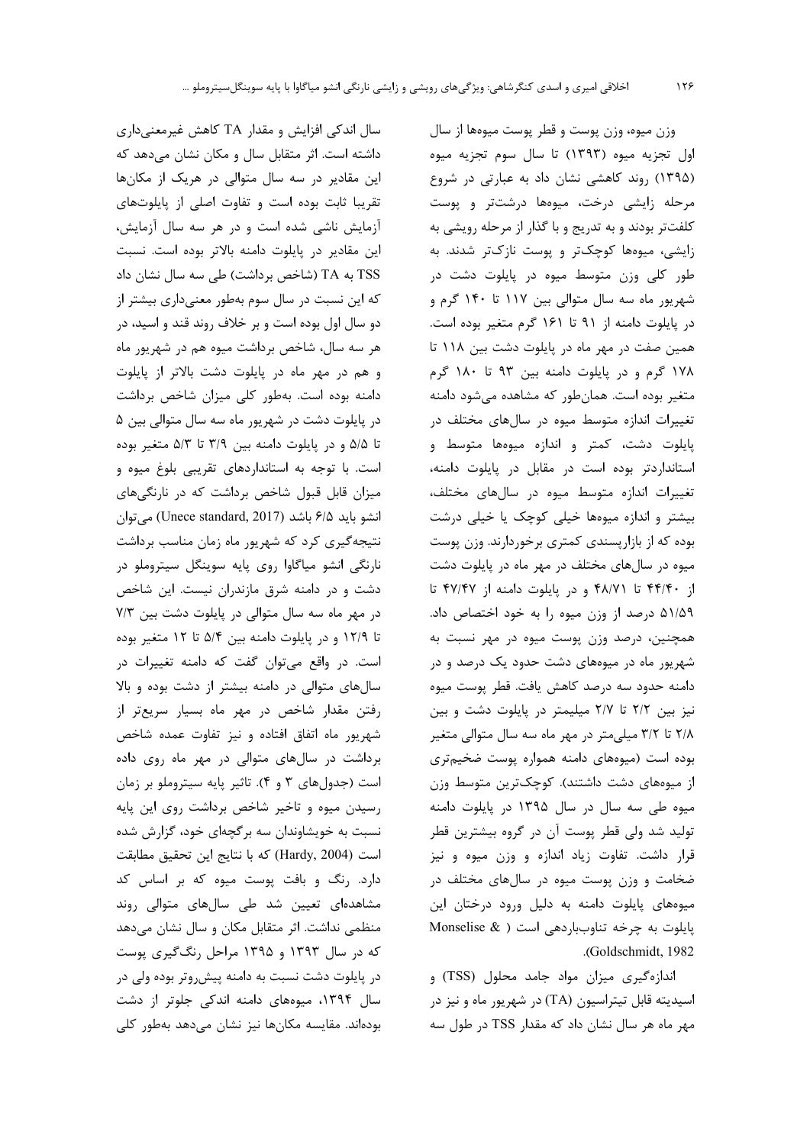سال اندکی افزایش و مقدار TA کاهش غیرمعنیداری داشته است. اثر متقابل سال و مکان نشان میدهد که این مقادیر در سه سال متوالی در هریک از مکانها تقریبا ثابت بوده است و تفاوت اصلی از پایلوتهای آزمایش ناشی شده است و در هر سه سال آزمایش، این مقادیر در پایلوت دامنه بالاتر بوده است. نسبت TSS به TA (شاخص برداشت) طی سه سال نشان داد که این نسبت در سال سوم بهطور معنیداری بیشتر از دو سال اول بوده است و بر خلاف روند قند و اسید، در هر سه سال، شاخص برداشت میوه هم در شهریور ماه و هم در مهر ماه در پایلوت دشت بالاتر از پایلوت دامنه بوده است. بهطور کلی میزان شاخص برداشت در پایلوت دشت در شهریور ماه سه سال متوالی بین ۵ تا ۵/۵ و در پایلوت دامنه بین ۳/۹ تا ۵/۳ متغیر بوده است. با توجه به استانداردهای تقریبی بلوغ میوه و میزان قابل قبول شاخص برداشت که در نارنگیهای انشو بايد ۶/۵ باشد (Unece standard, 2017) مى توان نتیجهگیری کرد که شهریور ماه زمان مناسب برداشت نارنگی انشو میاگاوا روی پایه سوینگل سیتروملو در دشت و در دامنه شرق مازندران نیست. این شاخص در مهر ماه سه سال متوالی در پایلوت دشت بین ۷/۳ تا ۱۲/۹ و در پایلوت دامنه بین ۵/۴ تا ۱۲ متغیر بوده است. در واقع می توان گفت که دامنه تغییرات در سالهای متوالی در دامنه بیشتر از دشت بوده و بالا رفتن مقدار شاخص در مهر ماه بسيار سريعتر از شهریور ماه اتفاق افتاده و نیز تفاوت عمده شاخص برداشت در سالهای متوالی در مهر ماه روی داده است (جدولهای ۳ و ۴). تاثیر پایه سیتروملو بر زمان رسیدن میوه و تاخیر شاخص برداشت روی این پایه نسبت به خویشاوندان سه برگچهای خود، گزارش شده است (Hardy, 2004) كه با نتايج اين تحقيق مطابقت دارد. رنگ و بافت پوست میوه که بر اساس کد مشاهدهای تعیین شد طی سالهای متوالی روند منظمی نداشت. اثر متقابل مکان و سال نشان میدهد که در سال ۱۳۹۳ و ۱۳۹۵ مراحل رنگگیری پوست در پایلوت دشت نسبت به دامنه پیش وتر بوده ولی در سال ۱۳۹۴، میوههای دامنه اندکی جلوتر از دشت بودہاند. مقایسه مکانھا نیز نشان مےدھد بەطور کلی

وزن ميوه، وزن پوست و قطر پوست ميوهها از سال اول تجزيه ميوه (١٣٩٣) تا سال سوم تجزيه ميوه (١٣٩۵) روند كاهشى نشان داد به عبارتى در شروع مرحله زایشی درخت، میوهها درشتتر و پوست كلفتتر بودند و به تدريج و با گذار از مرحله رويشي به زایشی، میوهها کوچکتر و پوست نازکتر شدند. به طور کلی وزن متوسط میوه در پایلوت دشت در شهریور ماه سه سال متوالی بین ۱۱۷ تا ۱۴۰ گرم و در پایلوت دامنه از ۹۱ تا ۱۶۱ گرم متغیر بوده است. همین صفت در مهر ماه در پایلوت دشت بین ۱۱۸ تا ۱۷۸ گرم و در پایلوت دامنه بین ۹۳ تا ۱۸۰ گرم متغیر بوده است. همانطور که مشاهده میشود دامنه تغییرات اندازه متوسط میوه در سالهای مختلف در پایلوت دشت، کمتر و اندازه میوهها متوسط و استانداردتر بوده است در مقابل در پایلوت دامنه، تغییرات اندازه متوسط میوه در سالهای مختلف، بیشتر و اندازه میوهها خیلی کوچک یا خیلی درشت بوده که از بازارپسندی کمتری برخوردارند. وزن پوست میوه در سالهای مختلف در مهر ماه در پایلوت دشت از ۴۴/۴۰ تا ۴۸/۷۱ و در پایلوت دامنه از ۴۷/۴۷ تا ۵۱/۵۹ درصد از وزن میوه را به خود اختصاص داد. همچنین، درصد وزن پوست میوه در مهر نسبت به شهریور ماه در میوههای دشت حدود یک درصد و در دامنه حدود سه درصد كاهش يافت. قطر پوست ميوه نیز بین ٢/٢ تا ٢/٧ میلیمتر در پایلوت دشت و بین ۲/۸ تا ۳/۲ میلی متر در مهر ماه سه سال متوالی متغیر بوده است (میوههای دامنه همواره پوست ضخیم تری از میوههای دشت داشتند). کوچکترین متوسط وزن میوه طی سه سال در سال ۱۳۹۵ در پایلوت دامنه تولید شد ولی قطر پوست آن در گروه بیشترین قطر قرار داشت. تفاوت زیاد اندازه و وزن میوه و نیز ضخامت و وزن پوست میوه در سالهای مختلف در میوههای پایلوت دامنه به دلیل ورود درختان این پایلوت به چرخه تناوبباردهی است ( Monselise & .(Goldschmidt, 1982

اندازهگیری میزان مواد جامد محلول (TSS) و اسیدیته قابل تیتراسیون (TA) در شهریور ماه و نیز در مهر ماه هر سال نشان داد که مقدار TSS در طول سه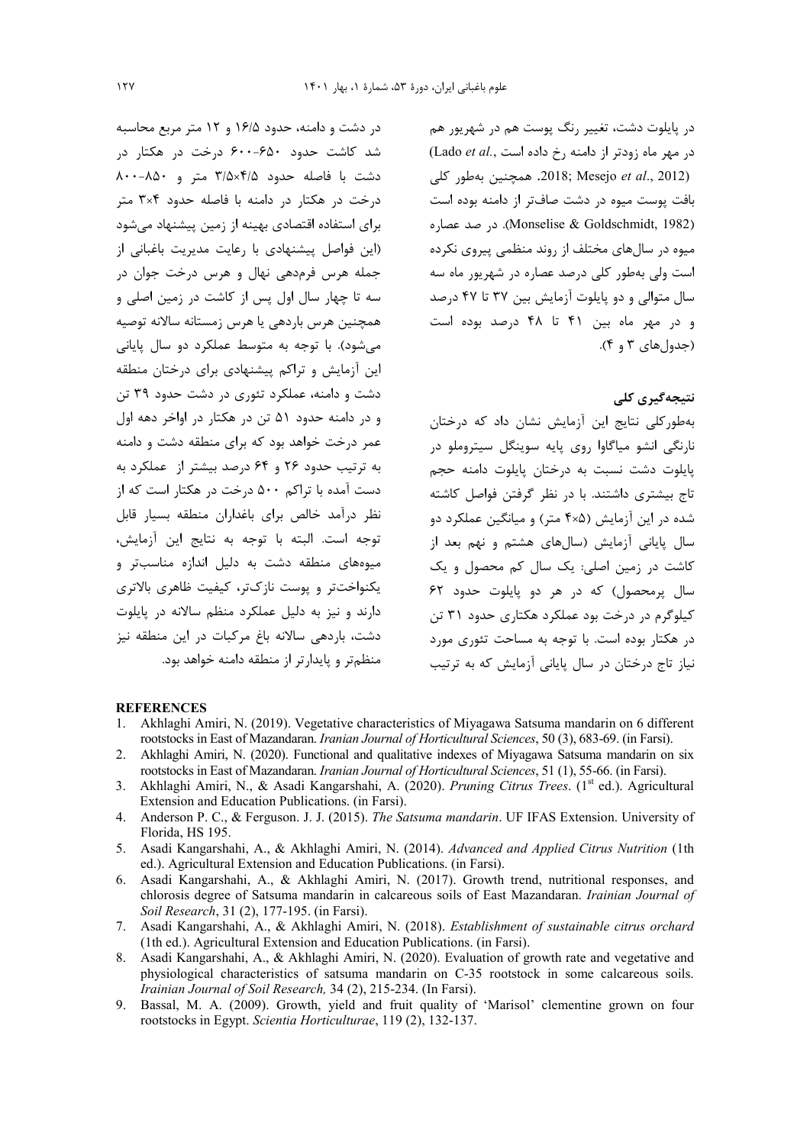در دشت و دامنه، حدود ۱۶/۵ و ۱۲ متر مربع محاسبه شد کاشت حدود ۶۰۰-۶۵۰ درخت در هکتار در دشت با فاصله حدود ۳/۵×۴/۵ متر و ۸۵۰-۸۰۰ درخت در هکتار در دامنه با فاصله حدود ۳×۳ متر برای استفاده اقتصادی بهینه از زمین پیشنهاد می شود (این فواصل پیشنهادی با رعایت مدیریت باغبانی از جمله هرس فرمدهی نهال و هرس درخت جوان در سه تا چهار سال اول پس از کاشت در زمین اصلی و همچنین هرس باردهی یا هرس زمستانه سالانه توصیه می شود). با توجه به متوسط عملکرد دو سال پایانی این آزمایش و تراکم پیشنهادی برای درختان منطقه دشت و دامنه، عملکرد تئوری در دشت حدود ۳۹ تن و در دامنه حدود ۵۱ تن در هکتار در اواخر دهه اول عمر درخت خواهد بود که برای منطقه دشت و دامنه به ترتیب حدود ۲۶ و ۶۴ درصد بیشتر از عملکرد به دست آمده با تراکم ۵۰۰ درخت در هکتار است که از نظر درآمد خالص برای باغداران منطقه بسیار قابل توجه است. البته با توجه به نتايج اين آزمايش، میوههای منطقه دشت به دلیل اندازه مناسبتر و یکنواختتر و یوست نازکتر، کیفیت ظاهری بالاتری دارند و نیز به دلیل عملکرد منظم سالانه در پایلوت دشت، باردهی سالانه باغ مرکبات در این منطقه نیز منظمتر و پایدارتر از منطقه دامنه خواهد بود.

د, پایلوت دشت، تغییر رنگ پوست هم در شهریور هم در مهر ماه زودتر از دامنه رخ داده است .(Lado et al .2012) 2018; Mesejo et al., 2012. همچنین بهطور کلی بافت پوست میوه در دشت صافتر از دامنه بوده است (Monselise & Goldschmidt, 1982). در صد عصاره میوه در سالهای مختلف از روند منظمی پیروی نکرده است ولی بهطور کلی درصد عصاره در شهریور ماه سه سال متوالی و دو پایلوت آزمایش بین ۳۷ تا ۴۷ درصد و در مهر ماه بين ۴۱ تا ۴۸ درصد بوده است (جدول های ۳ و ۴).

# نتىجەگىرى كلى

بهطورکلی نتایج این آزمایش نشان داد که درختان نارنگی انشو میاگاوا روی پایه سوینگل سیتروملو در .<br>پایلوت دشت نسبت به درختان پایلوت دامنه حجم تاج بیشتری داشتند. با در نظر گرفتن فواصل کاشته شده در این آزمایش (۴×۴ متر) و میانگین عملکرد دو سال پایانی آزمایش (سالهای هشتم و نهم بعد از کاشت در زمین اصلی: یک سال کم محصول و یک سال برمحصول) که در هر دو بابلوت حدود ۶۲ کیلوگرم در درخت بود عملکرد هکتاری حدود ۳۱ تن در هکتار بوده است. با توجه به مساحت تئوری مورد نیاز تاج درختان در سال پایانی آزمایش که به ترتیب

#### **REFERENCES**

- 1. Akhlaghi Amiri, N. (2019). Vegetative characteristics of Miyagawa Satsuma mandarin on 6 different rootstocks in East of Mazandaran. Iranian Journal of Horticultural Sciences, 50 (3), 683-69. (in Farsi).
- 2. Akhlaghi Amiri, N. (2020). Functional and qualitative indexes of Miyagawa Satsuma mandarin on six rootstocks in East of Mazandaran. Iranian Journal of Horticultural Sciences, 51 (1), 55-66. (in Farsi).
- 3. Akhlaghi Amiri, N., & Asadi Kangarshahi, A. (2020). Pruning Citrus Trees. (1<sup>st</sup> ed.). Agricultural Extension and Education Publications. (in Farsi).
- 4. Anderson P. C., & Ferguson. J. J. (2015). The Satsuma mandarin. UF IFAS Extension. University of Florida, HS 195.
- 5. Asadi Kangarshahi, A., & Akhlaghi Amiri, N. (2014). Advanced and Applied Citrus Nutrition (1th ed.). Agricultural Extension and Education Publications. (in Farsi).
- 6. Asadi Kangarshahi, A., & Akhlaghi Amiri, N. (2017). Growth trend, nutritional responses, and chlorosis degree of Satsuma mandarin in calcareous soils of East Mazandaran. Irainian Journal of Soil Research, 31 (2), 177-195. (in Farsi).
- 7. Asadi Kangarshahi, A., & Akhlaghi Amiri, N. (2018). Establishment of sustainable citrus orchard (1th ed.). Agricultural Extension and Education Publications. (in Farsi).
- $\mathbf{R}$ Asadi Kangarshahi, A., & Akhlaghi Amiri, N. (2020). Evaluation of growth rate and vegetative and physiological characteristics of satsuma mandarin on C-35 rootstock in some calcareous soils. Irainian Journal of Soil Research, 34 (2), 215-234. (In Farsi).
- 9. Bassal, M. A. (2009). Growth, yield and fruit quality of 'Marisol' clementine grown on four rootstocks in Egypt. Scientia Horticulturae, 119 (2), 132-137.